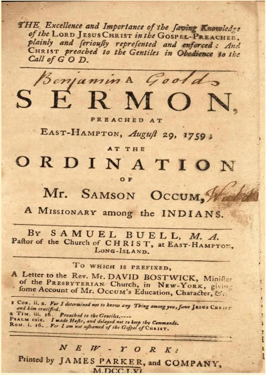THE Excellence and Importance of the faving Knowledge of the LORD JESUS CHRIST in the GOSPEL-PREACHER, plainly and ferioufly reprefented and enforced: And CHRIST preached to the Gentiles in Obedience to the Call of GOD.



PREACHED AT

EAST-HAMPTON, August 29, 1759;

### **AT THE**

# ORDINATION

### OF

Mr. SAMSON OCCUM.

A MISSIONARY among the INDIANS.

BY SAMUEL BUELL, M. A. Paftor of the Church of CHRIST, at EAST-HAMPTON, LONG-ISLAND.

# TO WHICH IS PREFIXED,

A Letter to the Rev. Mr. DAVID BOSTWICK, Minifler of the PRESBYTERIAN. Church, in NEW-YORK, giving fome Account of Mr. Occum's Education, Character, &:-

I Con. ii. 2. For I determined not to know any Thing among you, fave JESUS CHRIST and bim crucified. 2 TIM. iii. 16. Preached to the Gentiles. .......<br>PSALM CXIX. I made Hafte, and delayed not to keep thy Commands.

ROM. i. 16. For I am not asbamed of the Gospel of CHRIST.

# $N E W - Y O R K$

Printed by JAMES PARKER, and COMPANY,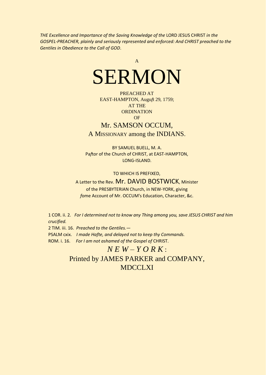*THE Excellence and Importance of the Saving Knowledge of the* LORD JESUS CHRIST *in the GOSPEL-PREACHER, plainly and seriously represented and enforced: And CHRIST preached to the Gentiles in Obedience to the Call of GOD*.



PREACHED AT EAST-HAMPTON, Augu*f*t 29, 1759; AT THE **ORDINATION** OF

## Mr. SAMSON OCCUM,

A MISSIONARY among the INDIANS.

BY SAMUEL BUELL, M. A. Pa*f*tor of the Church of CHRIST, at EAST-HAMPTON, LONG-ISLAND.

TO WHICH IS PREFIXED,

#### A Letter to the Rev. Mr. DAVID BOSTWICK, Minister

of the PRESBYTERIAN Church, in NEW-YORK, giving *f*ome Account of Mr. OCCUM's Education, Character, &c.

1 COR. ii. 2*. For I determined not to know any Thing among you, save JESUS CHRIST and him crucified.*

2 TIM. iii. 16. *Preached to the Gentiles.—*

PSALM cxix. *I made Hafte, and delayed not to keep thy Commands.*

ROM. i. 16. *For I am not ashamed of the Gospel of* CHRIST.

# $N$   $E$   $W - Y$   $O$   $R$   $K$  : Printed by JAMES PARKER and COMPANY, MDCCLXI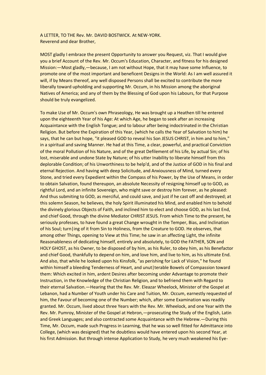A LETTER, TO THE Rev. Mr. DAVID BOSTWICK. At NEW-YORK. Reverend and dear Brother,

MOST gladly I embrace the present Opportunity to answer you Request, viz. That I would give you a brief Account of the Rev. Mr. Occum's Education, Character, and fitness for his designed Mission:—Most gladly,—because, I am not without Hope, that it may have some Influence, to promote one of the most important and beneficent Designs in the World: As I am well assured it will, if by Means thereof, any well disposed Persons shall be excited to contribute the more liberally toward upholding and supporting Mr. Occum, in his Mission among the aboriginal Natives of America; and any of them by the Blessing of God upon his Labours, for that Purpose should be truly evangelized.

To make Use of Mr. Occum's own Phraseology, He was brought up a Heathen till he entered upon the eighteenth Year of his Age: At which Age, he began to seek after an increasing Acquaintance with the English Tongue; and to labour after being indoctrinated in the Christian Religion. But before the Expiration of this Year, (which he calls the Year of Salvation to him) he says, that he can but hope, "it pleased GOD to reveal his Son JESUS CHRIST, in him and to him," in a spiritual and saving Manner. He had at this Time, a clear, powerful, and practical Conviction of the moral Pollution of his Nature, and of the great Defilement of his Life, by actual Sin; of his lost, miserable and undone State by Nature; of his utter Inability to liberate himself from this deplorable Condition; of his Unworthiness to be help'd, and of the Justice of GOD in his final and eternal Rejection. And having with deep Solicitude, and Anxiousness of Mind, turned every Stone, and tried every Expedient within the Compass of his Power, by the Use of Means, in order to obtain Salvation, found thereupon, an absolute Necessity of resigning himself up to GOD, as rightful Lord, and an infinite Sovereign, who might save or destroy him forever, as he pleased: And thus submiting to GOD, as merciful, and could save, and just if he cast off and destroyed; at this solemn Season, he believes, the holy Spirit illuminated his Mind, and enabled him to behold the divinely glorious Objects of Faith, and inclined him to elect and choose GOD, as his last End, and chief Good, through the divine Mediator CHRIST JESUS. From which Time to the present, he seriously professes, to have found a great Change wrought in the Temper, Bias, and Inclination of his Soul; turn | ing of it from Sin to Holiness, from the Creature to GOD. He observes, that among other Things, opening to View at this Time; he saw in an affecting Light, the infinite Reasonableness of dedicating himself, entirely and absolutely, to GOD the FATHER, SON and HOLY GHOST, as his Owner, to be disposed of by him, as his Ruler, to obey him, as his Benefactor and chief Good, thankfully to depend on him, and love him, and live to him, as his ultimate End. And also, that while he looked upon his Kinsfolk, "as perishing for Lack of Vision," he found within himself a bleeding Tenderness of Heart, and unut | terable Bowels of Compassion toward them: Which excited in him, ardent Desires after becoming under Advantage to promote their Instruction, in the Knowledge of the Christian Religion, and to befriend them with Regard to their eternal Salvation.—Hearing that the Rev. Mr. Eleazar Wheelock, Minister of the Gospel at Lebanon, had a Number of Youth under his Care and Tuition, Mr. Occum, earnestly requested of him, the Favour of becoming one of the Number; which, after some Examination was readily granted. Mr. Occum, lived about three Years with the Rev. Mr. Wheelock, and one Year with the Rev. Mr. Pumroy, Minister of the Gospel at Hebron,—prosecuting the Study of the English, Latin and Greek Languages; and also contracted some Acquaintance with the Hebrew.—During this Time, Mr. Occum, made such Progress in Learning, that he was so well fitted for Admittance into College, (which was designed) that he doubtless would have entered upon his second Year, at his first Admission. But through intense Application to Study, he very much weakened his Eye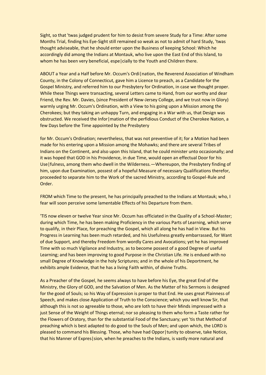Sight, so that 'twas judged prudent for him to desist from severe Study for a Time: After some Months Trial, finding his Eye-Sight still remained so weak as not to admit of hard Study, 'twas thought adviseable, that he should enter upon the Business of keeping School: Which he accordingly did among the Indians at Montauk, who live upon the East End of this Island, to whom he has been very beneficial, espe cially to the Youth and Children there.

ABOUT a Year and a Half before Mr. Occum's Ordi | nation, the Reverend Association of Windham County, in the Colony of Connecticut, gave him a Licence to preach, as a Candidate for the Gospel Ministry, and referred him to our Presbytery for Ordination, in case we thought proper. While these Things were transacting, several Letters came to Hand, from our worthy and dear Friend, the Rev. Mr. Davies, (since President of New-Jersey College, and we trust now in Glory) warmly urging Mr. Occum's Ordination, with a View to his going upon a Mission among the Cherokees; but they taking an unhappy Turn, and engaging in a War with us, that Design was obstructed. We received the Infor | mation of the perfidious Conduct of the Cherokee Nation, a few Days before the Time appointed by the Presbytery

for Mr. Occum's Ordination; nevertheless, that was not preventive of it; for a Motion had been made for his entering upon a Mission among the Mohawks; and there are several Tribes of Indians on the Continent, and also upon this Island, that he could minister unto occasionally; and it was hoped that GOD in his Providence, in due Time, would open an effectual Door for his Use|fulness, among them who dwell in the Wilderness.—Whereupon, the Presbytery finding of him, upon due Examination, possest of a hopeful Measure of necessary Qualifications therefor, proceeded to separate him to the Work of the sacred Ministry, according to Gospel-Rule and Order.

FROM which Time to the present, he has principally preached to the Indians at Montauk; who, I fear will soon perceive some lamentable Effects of his Departure from them.

'TIS now eleven or twelve Year since Mr. Occum has officiated in the Quality of a School-Master; during which Time, he has been making Proficiency in the various Parts of Learning, which serve to qualify, in their Place, for preaching the Gospel, which all along he has had in View. But his Progress in Learning has been much retarded, and his Usefulness greatly embarrassed, for Want of due Support, and thereby Freedom from wordly Cares and Avocations; yet he has improved Time with so much Vigilance and Industry, as to become possest of a good Degree of useful Learning; and has been improving to good Purpose in the Christian Life. He is endued with no small Degree of Knowledge in the holy Scriptures; and in the whole of his Deportment, he exhibits ample Evidence, that he has a living Faith within, of divine Truths.

As a Preacher of the Gospel, he seems always to have before his Eye, the great End of the Ministry, the Glory of GOD, and the Salvation of Men. As the Matter of his Sermons is designed for the good of Souls; so his Way of Expression is proper to that End. He uses great Plainness of Speech, and makes close Application of Truth to the Conscience; which you well know Sir, that although this is not so agreeable to those, who are loth to have their Minds impressed with a just Sense of the Weight of Things eternal; nor so pleasing to them who form a Taste rather for the Flowers of Oratory, than for the substantial Food of the Sanctuary; yet 'tis that Method of preaching which is best adapted to do good to the Souls of Men; and upon which, the LORD is pleased to command his Blessing. Those, who have had Oppor|tunity to observe, take Notice, that his Manner of Expres|sion, when he preaches to the Indians, is vastly more natural and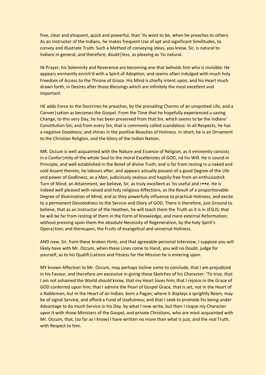free, clear and eloquent, quick and powerful, than 'tis wont to be, when he preaches to others. As an Instructor of the Indians, he makes frequent Use of apt and significant Similitudes, to convey and illustrate Truth: Such a Method of conveying Ideas, you know, Sir, is natural to Indians in general, and therefore, doubt|less, as pleasing as 'tis natural.

IN Prayer, his Solemnity and Reverence are becoming one that beholds him who is invisible: He appears eminently enrich'd with a Spirit of Adoption; and seems often indulged with much holy Freedom of Access to the Throne of Grace. His Mind is chiefly intent upon, and his Heart much drawn forth, in Desires after those Blessings which are infinitely the most excellent and important.

HE adds Force to the Doctrines he preaches, by the prevailing Charms of an unspotted Life, and a Conver|sation as becomes the Gospel. From the Time that he hopefully experienced a saving Change, to this very Day, he has been preserved from that Sin, which seems to be the Indians' Constitution Sin; and from every Sin, that is commonly called scandalous: In all Respects, he has a negative Goodness; and shines in the positive Beauties of Holiness. In short, he is an Ornament to the Christian Religion, and the Glory of the Indian Nation,

MR. Occum is well acquainted with the Nature and Essence of Religion, as it eminently consists in a Confor | mity of the whole Soul to the moral Excellencies of GOD, nd his Will. He is sound in Principle, and well established in the Belief of divine Truth; and is far from resting in a naked and cold Assent thereto, he labours after, and appears actually possest of a good Degree of the Life and power of Godliness; as a Man, judiciously zealous and happily free from an enthusiastick Turn of Mind; an Attainment, we believe, Sir, as truly excellent as 'tis useful and r••e. He is indeed well pleased with raised and holy religious Affections, as the Result of a proportionable Degree of Illumination of Mind, and as they powerfully influence to practical Holiness, and excite to a permanent Devotedness to the Service and Glory of GOD. There is therefore, just Ground to believe, that as an Instructor of the Heathen, he will teach them the Truth as it is in JESUS; that he will be far from resting of them in the Form of Knowledge, and mere external Reformation; without pressing upon them the absolute Necessity of Regeneration, by the holy Spirit's Opera|tion; and thereupon, the Fruits of evangelical and universal Holiness.

AND now, Sir, from these broken Hints, and that agreeable personal Interview, I suppose you will likely have with Mr. Occum, when these Lines come to Hand, you will no Doubt, judge for yourself, as to his Qualifi|cations and Fitness for the Mission he is entering upon.

MY known Affection to Mr. Occum, may perhaps incline some to conclude, that I am prejudiced in his Favour, and therefore am excessive in giving these Sketches of his Character: 'Tis true, that I am not ashamed the World should know, that my Heart loves him; that I rejoice in the Grace of GOD conferred upon him; that I admire the Pearl of Gospel Grace, that is set, not in the Heart of a Nobleman, but in the Heart of an Indian, born a Pagan; where it displays a sprightly Beam, may be of signal Service, and afford a Fund of Usefulness; and that I seek to promote his being under Advantage to do much Service in his Day, by what I now write; but then I risque my Character upon it with those Ministers of the Gospel, and private Christians, who are most acquainted with Mr. Occum, that, (so far as I know) I have written no more than what is just, and the real Truth, with Respect to him.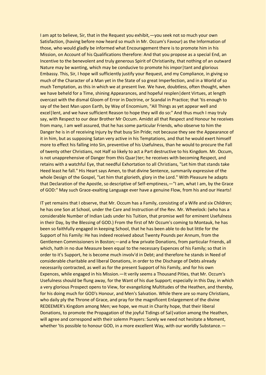I am apt to believe, Sir, that in the Request you exhibit,—you seek not so much your own Satisfaction, (having before now heard so much in Mr. Occum's Favour) as the Information of those, who would gladly be informed what Encouragement there is to promote him in his Mission, on Account of his Qualifications therefore: And that you propose as a special End, an Incentive to the benevolent and truly generous Spirit of Christianity, that nothing of an outward Nature may be wanting, which may be conducive to promote his impor tant and glorious Embassy. This, Sir, I hope will sufficiently justify your Request, and my Compliance, in giving so much of the Character of a Man yet in the State of so great Imperfection, and in a World of so much Temptation, as this in which we at present live. We have, doubtless, often thought, when we have beheld for a Time, shining Appearances, and hopeful resplen dent Virtues, at length overcast with the dismal Gloom of Error in Doctrine, or Scandal in Practice; that 'tis enough to say of the best Man upon Earth, by Way of Encomium, "All Things as yet appear well and excel | lent, and we have sufficient Reason to hope they will do so:" And thus much I may truly say, with Respect to our dear Brother Mr Occum. Amidst all that Respect and Honour he receives from many, I am well assured, that he has some particular Friends, who observe to him the Danger he is in of receiving Injury by that busy Sin Pride; not because they see the Appearance of it in him, but as supposing Satan very active in his Temptations, and that he would exert himself more to effect his falling into Sin, preventive of his Usefulness, than he would to procure the Fall of twenty other Christians, not Half so likely to act a Part destructive to his Kingdom. Mr. Occum, is not unapprehensive of Danger from this Quar | ter; he receives with becoming Respect, and retains with a watchful Eye, that needful Exhortation to all Christians, "Let him that stands take Heed least he fall." His Heart says Amen, to that divine Sentence, summarily expressive of the whole Design of the Gospel, "Let him that glorieth, glory in the Lord." With Pleasure he adapts that Declaration of the Apostle, so descriptive of Self-emptiness,—"I am, what I am, by the Grace of GOD:" May such Grace-exalting Language ever have a genuine Flow, from his and our Hearts!

IT yet remains that I observe, that Mr. Occum has a Family, consisting of a Wife and six Children; he has one Son at School, under the Care and Instruction of the Rev. Mr. Wheelock: (who has a considerable Number of Indian Lads under his Tuition, that promise well for eminent Usefulness in their Day, by the Blessing of GOD.) From the first of Mr Occum's coming to Montauk, he has been so faithfully engaged in keeping School, that he has been able to do but little for the Support of his Family: He has indeed received about Twenty Pounds per Annum, from the Gentlemen Commissioners in Boston;—and a few private Donations, from particular Friends, all which, hath in no due Measure been equal to the necessary Expences of his Family; so that in order to it's Support, he is become much involv'd in Debt; and therefore he stands in Need of considerable charitable and liberal Donations, in order to the Discharge of Debts already necessarily contracted, as well as for the present Support of his Family, and for his own Expences, while engaged in his Mission.—It verily seems a Thousand Pities, that Mr. Occum's Usefulness should be flung away, for the Want of his due Support; especially in this Day, in which a very glorious Prospect opens to View, for evangelizing Multitudes of the Heathen, and thereby, for his doing much for GOD's Honour, and Men's Salvation. While there are so many Christians, who daily ply the Throne of Grace, and pray for the magnificent Enlargement of the divine REDEEMER's Kingdom among Men; we hope, we must in Charity hope, that their liberal Donations, to promote the Propagation of the joyful Tidings of Sal vation among the Heathen, will agree and correspond with their solemn Prayers: Surely we need not hesitate a Moment, whether 'tis possible to honour GOD, in a more excellent Way, with our worldly Substance. —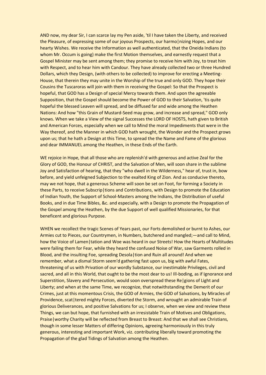AND now, my dear Sir, I can scarce lay my Pen aside, 'til I have taken the Liberty, and received the Pleasure, of expressing some of our joyous Prospects, our harmo | nizing Hopes, and our hearty Wishes. We receive the Information as well authenticated, that the Oneida Indians (to whom Mr. Occum is going) make the first Motion themselves, and earnestly request that a Gospel Minister may be sent among them; they promise to receive him with Joy, to treat him with Respect, and to hear him with Candour. They have already collected two or three Hundred Dollars, which they Design, (with others to be collected) to improve for erecting a Meeting-House, that therein they may unite in the Worship of the true and only GOD. They hope their Cousins the Tuscaroras will join with them in receiving the Gospel: So that the Prospect is hopeful, that GOD has a Design of special Mercy towards them. And upon the agreeable Supposition, that the Gospel should become the Power of GOD to their Salvation, 'tis quite hopeful the blessed Leaven will spread, and be diffused far and wide among the Heathen Nations: And how "this Grain of Mustard-Seed may grow, and increase and spread," GOD only knows. When we take a View of the signal Successes the LORD OF HOSTS, hath given to British and American Forces, especially when we call to Mind the moral Impediments that were in the Way thereof, and the Manner in which GOD hath wrought, the Wonder and the Prospect grows upon us; that he hath a Design at this Time, to spread the the Name and Fame of the glorious and dear IMMANUEL among the Heathen, in these Ends of the Earth.

WE rejoice in Hope, that all those who are replenish'd with generous and active Zeal for the Glory of GOD, the Honour of CHRIST, and the Salvation of Men, will soon share in the sublime Joy and Satisfaction of hearing, that they "who dwell in the Wilderness," hear of, trust in, bow before, and yield unfeigned Subjection to the exalted King of Zion. And as conducive thereto, may we not hope, that a generous Scheme will soon be set on Foot, for forming a Society in these Parts, to receive Subscrip|tions and Contributions, with Design to promote the Education of Indian Youth, the Support of School-Masters among the Indians, the Distribution of useful Books, and in due Time Bibles, &c. and especially, with a Design to promote the Propagation of the Gospel among the Heathen, by the due Support of well qualified Missionaries, for that beneficent and glorious Purpose.

WHEN we recollect the tragic Scenes of Years past, our Forts demolished or burnt to Ashes, our Armies cut to Pieces, our Countrymen, in Numbers, butchered and mangled;—and call to Mind, how the Voice of Lamen | tation and Woe was heard in our Streets! How the Hearts of Multitudes were failing them for Fear, while they heard the confused Noise of War, saw Garments rolled in Blood, and the insulting Foe, spreading Desola|tion and Ruin all around! And when we remember, what a dismal Storm seem'd gathering fast upon us, big with awful Fates, threatening of us with Privation of our wordly Substance, our inestimable Privileges, civil and sacred, and all in this World, that ought to be the most dear to us! Ill-boding, as if Ignorance and Superstition, Slavery and Persecution, would soon overspread these Re|gions of Light and Liberty; and when at the same Time, we recognize, that notwithstanding the Demerit of our Crimes, just at this momentous Crisis, the GOD of Armies, the GOD of Salvations, by Miracles of Providence, scat|tered mighty Forces, diverted the Storm, and wrought an admirable Train of glorious Deliverances, and positive Salvations for us; I observe, when we view and review these Things, we can but hope, that furnished with an irresistable Train of Motives and Obligations, Praise|worthy Charity will be reflected from Breast to Breast: And that we shall see Christians, though in some lesser Matters of differing Opinions, agreeing harmoniously in this truly generous, interesting and important Work, viz. contributing liberally toward promoting the Propagation of the glad Tidings of Salvation among the Heathen.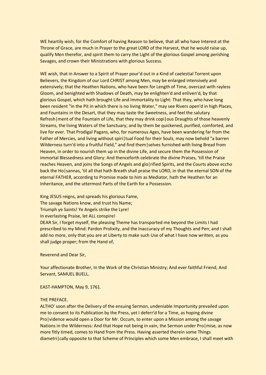WE heartily wish, for the Comfort of having Reason to believe, that all who have Interest at the Throne of Grace, are much in Prayer to the great LORD of the Harvest, that he would raise up, qualify Men therefor, and spirit them to carry the Light of the glorious Gospel among perishing Savages, and crown their Ministrations with glorious Success.

WE wish, that in Answer to a Spirit of Prayer pour'd out in a Kind of caelestial Torrent upon Believers, the Kingdom of our Lord CHRIST among Men, may be enlarged intensively and extensively; that the Heathen Nations, who have been for Length of Time, overcast with rayless Gloom, and benighted with Shadows of Death, may be enlighten'd and enliven'd, by that glorious Gospel, which hath brought Life and Immortality to Light: That they, who have long been resident "in the Pit in which there is no living Water," may see Rivers open'd in high Places, and Fountains in the Desart, that they may taste the Sweetness, and feel the salutary Refresh | ment of the Fountain of Life, that they may drink copi | ous Draughts of those heavenly Streams, the living Waters of the Sanctuary; and by them be quickened, purified, comforted, and live for ever. That Prodigal Pagans, who, for numerous Ages, have been wandering far from the Father of Mercies, and living without spiri|tual Food for their Souls, may now behold "a barren Wilderness turn'd into a fruitful Field," and find them|selves furnished with living Bread from Heaven, in order to nourish them up in the divine Life, and secure them the Possession of immortal Blessedness and Glory: And thenceforth celebrate the divine Praises, 'till the Praise reaches Heaven, and joins the Songs of Angels and glo|rified Spirits, and the Courts above eccho back the Ho|sannas, 'til all that hath Breath shall praise the LORD, in that the eternal SON of the eternal FATHER, according to Promise made to him as Mediator, hath the Heathen for an Inheritance, and the uttermost Parts of the Earth for a Possession.

King JESUS reigns, and spreads his glorious Fame, The savage Nations know, and trust his Name; Triumph ye Saints! Ye Angels strike the Lyre! In everlasting Praise, let ALL conspire! DEAR Sir, I forget myself, the pleasing Theme has transported me beyond the Limits I had prescribed to my Mind: Pardon Prolixity, and the Inaccuracy of my Thoughts and Pen; and I shall add no more, only that you are at Liberty to make such Use of what I have now written, as you shall judge proper; from the Hand of,

Reverend and Dear Sir,

Your affectionate Brother, In the Work of the Christian Ministry; And ever faithful Friend, And Servant, SAMUEL BUELL.

EAST-HAMPTON, May 9, 1761.

#### THE PREFACE.

ALTHO' soon after the Delivery of the ensuing Sermon, undeniable Importunity prevailed upon me to consent to its Publication by the Press, yet I deferr'd for a Time, as hoping divine Pro|vidence would open a Door for Mr. Occum, to enter upon a Mission among the savage Nations in the Wilderness: And that Hope not being in vain, the Sermon under Pro | mise, as now more fitly timed, comes to Hand from the Press. Having asserted therein some Things diametri | cally opposite to that Scheme of Principles which some Men embrace, I shall meet with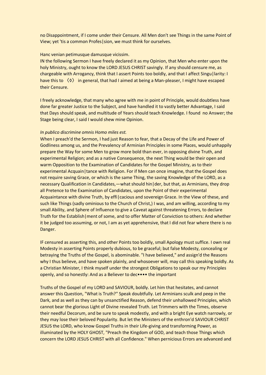no Disappointment, if I come under their Censure. All Men don't see Things in the same Point of View; yet 'tis a common Profes|sion, we must think for ourselves.

#### Hanc venian petimusque damusque vicissim.

IN the following Sermon I have freely declared it as my Opinion, that Men who enter upon the holy Ministry, ought to know the LORD JESUS CHRIST savingly. If any should censure me, as chargeable with Arrogancy, think that I assert Points too boldly, and that I affect Singu|larity: I have this to 〈◊〉 in general, that had I aimed at being a Man-pleaser, I might have escaped their Censure.

I freely acknowledge, that many who agree with me in point of Principle, would doubtless have done far greater Justice to the Subject, and have handled it to vastly better Advantage, I said that Days should speak, and multitude of Years should teach Knowledge. I found no Answer; the Stage being clear, I said I would shew mine Opinion.

#### *In publico discrimine omnis Homo miles est.*

When I preach'd the Sermon, I had just Reason to fear, that a Decay of the Life and Power of Godliness among us, and the Prevalency of Arminian Principles in some Places, would unhappily prepare the Way for some Men to grow more bold than ever, in opposing divine Truth, and experimental Religion; and as a native Consequence, the next Thing would be their open and warm Opposition to the Examination of Candidates for the Gospel Ministry, as to their experimental Acquain | tance with Religion. For if Men can once imagine, that the Gospel does not require saving Grace, or which is the same Thing, the saving Knowledge of the LORD, as a necessary Qualification in Candidates,—what should hin | der, but that, as Arminians, they drop all Pretence to the Examination of Candidates, upon the Point of their experimental Acquaintance with divine Truth, by effi|cacious and sovereign Grace. In the View of these, and such like Things (sadly ominious to the Church of Christ,) I was, and am willing, according to my small Ability, and Sphere of Influence to give a Caveat against threatening Errors, to declare Truth for the Establish|ment of some, and to offer Matter of Conviction to others: And whether it be judged too assuming, or not, I am as yet apprehensive, that I did not fear where there is no Danger.

IF censured as asserting this, and other Points too boldly, small Apology must suffice. I own real Modesty in asserting Points properly dubious, to be graceful; but false Modesty, concealing or betraying the Truths of the Gospel, is abominable. "I have believed," and assign'd the Reasons why I thus believe, and have spoken plainly, and whosoever will, may call this speaking boldly. As a Christian Minister, I think myself under the strongest Obligations to speak our my Principles openly, and so honestly: And as a Believer to dec•••• the important

Truths of the Gospel of my LORD and SAVIOUR, boldly. Let him that hesitates, and cannot answer this Question, "What is Truth?" Speak doubtfully. Let Arminians sculk and peep in the Dark, and as well as they can by unsanctified Reason, defend their unhallowed Principles, which cannot bear the glorious Light of Divine revealed Truth. Let Trimmers with the Times, observe their needful Decorum, and be sure to speak modestly, and with a bright Eye watch narrowly, or they may lose their beloved Popularity. But let the Ministers of the enthron'd SAVIOUR CHRIST JESUS the LORD, who know Gospel Truths in their Life-giving and transforming Power, as illuminated by the HOLY GHOST, "Preach the Kingdom of GOD, and teach those Things which concern the LORD JESUS CHRIST with all Confidence." When pernicious Errors are advanced and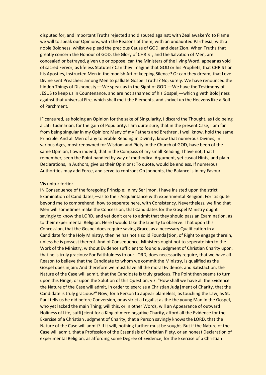disputed for, and important Truths rejected and disputed against; with Zeal awaken'd to Flame we will to speak our Opinions, with the Reasons of them, with an undaunted Parrhesia, with a noble Boldness, whilst we plead the precious Cause of GOD, and dear Zion. When Truths that greatly concern the Honour of GOD, the Glory of CHRIST, and the Salvation of Men, are concealed or betrayed, given up or oppose; can the Ministers of the living Word, appear as void of sacred Fervor, as lifeless Statutes? Can they imagine that GOD or his Prophets, that CHRIST or his Apostles, instructed Men in the modish Art of keeping Silence? Or can they dream, that Love Divine sent Preachers among Men to palliate Gospel Truths? No; surely. We have renounced the hidden Things of Dishonesty:—We speak as in the Sight of GOD:—We have the Testimony of JESUS to keep us in Countenance, and are not ashamed of his Gospel,—which giveth Bold|ness against that universal Fire, which shall melt the Elements, and shrivel up the Heavens like a Roll of Parchment.

IF censured, as holding an Opinion for the sake of Singularity, I discard the Thought, as I do being a Lati|tudinarian, for the gain of Popularity. I am quite sure, that in the present Case, I am far from being singular in my Opinion: Many of my Fathers and Brethren, I well know, hold the same Principle. And all Men of any tolerable Reading in Divinity, know that numerous Divines, in various Ages, most renowned for Wisdom and Piety in the Church of GOD, have been of the same Opinion, I own indeed, that in the Compass of my small Reading, I have not, that I remember, seen the Point handled by way of methodical Argument, yet casual Hints, and plain Declarations, in Authors, give us their Opinions: To quote, would be endless. If numerous Authorities may add Force, and serve to confront Op|ponents, the Balance is in my Favour.

#### Vis unitur fortior.

IN Consequence of the foregoing Principle; in my Ser|mon, I have insisted upon the strict Examination of Candidates,—as to their Acquaintance with experimental Religion: For 'tis quite beyond me to comprehend, how to seperate here, with Consistency. Nevertheless, we find that Men will sometimes make the Concession, that Candidates for the Gospel Ministry ought savingly to know the LORD, and yet don't care to admit that they should pass an Examination, as to their experimental Religion. Here I would take the Liberty to observe: That upon this Concession, that the Gospel does require saving Grace, as a necessary Qualification in a Candidate for the Holy Ministry, then he has not a solid Founda|tion, of Right to engage therein, unless he is possest thereof. And of Consequence, Ministers ought not to seperate him to the Work of the Ministry, without Evidence sufficient to found a Judgment of Christian Charity upon, that he is truly gracious: For Faithfulness to our LORD, does necessarily require, that we have all Reason to believe that the Candidate to whom we commit the Ministry, is qualified as the Gospel does injoin: And therefore we must have all the moral Evidence, and Satisfaction, the Nature of the Case will admit, that the Candidate is truly gracious. The Point then seems to turn upon this Hinge, or upon the Solution of this Question, viz. "How shall we have all the Evidence the Nature of the Case will admit, in order to exercise a Christian Judg|ment of Charity, that the Candidate is truly gracious?" Now, for a Person to appear blameless, as touching the Law, as St. Paul tells us he did before Conversion, or as strict a Legalist as the the young Man in the Gospel, who yet lacked the main Thing; will this, or in other Words, will an Appearance of outward Holiness of Life, suffi|cient for a King of mere negative Charity, afford all the Evidence for the Exercise of a Christian Judgment of Charity, that a Person savingly knows the LORD, that the Nature of the Case will admit? If it will, nothing farther must be sought. But if the Nature of the Case will admit, that a Profession of the Essentials of Christian Piety, or an honest Declaration of experimental Religion, as affording some Degree of Evidence, for the Exercise of a Christian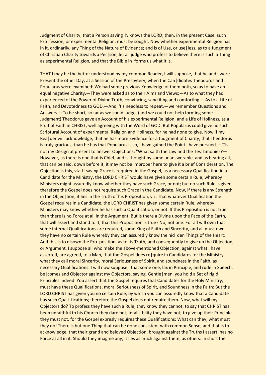Judgment of Charity, that a Person saving|ly knows the LORD; then, in the present Case, such Pro|fession, or experimental Religion, must be sought. Now whether experimental Religion has in it, ordinarily, any Thing of the Nature of Evidence; and is of Use, or use|less, as to a Judgment of Christian Charity towards a Per|son, let all judge who profess to believe there is such a Thing as experimental Religion, and that the Bible in forms us what it is.

THAT I may be the better understood by my common Reader, I will suppose, that he and I were Present the other Day, at a Session of the Presbytery, when the Can|didates Theodorus and Popularus were examined: We had some previous Knowledge of them both, so as to have an equal negative Charity.—They were asked as to their Aims and Views;—As to what they had experienced of the Power of Divine Truth, convincing, sanctifing and comforting.—As to a Life of Faith, and Devotedness to GOD.—And, 'tis needless to repeat,—we remember Questions and Answers.—To be short, so far as we could judge, (and we could not help forming some Judgment) Theodorus gave an Account of his experimental Religion, and a Life of Holiness, as a Fruit of Faith in CHRIST, well agreeing with the Word of GOD: But Popularus could give no such Scriptural Account of experimental Religion and Holiness, for he had none to give. Now if my Rea|der will acknowledge, that he has more Evidence for a Judgment of Charity, that Theodorus is truly gracious, than he has that Popularus is so, I have gained the Point I have pursued.—'Tis not my Design at present to answer Objections; "What saith the Law and the Tes|timonies?— However, as there is one that is Chief, and is thought by some unanswerable, and as bearing all, that can be said, down before it, it may not be improper here to give it a brief Consideration, The Objection is this, viz. If saving Grace is required in the Gospel, as a necessary Qualification in a Candidate for the Ministry, the LORD CHRIST would have given some certain Rule, whereby Ministers might assuredly know whether they have such Grace, or not; but no such Rule is given, therefore the Gospel does not require such Grace in the Candidate. Now, if there is any Strength in the Objec|tion, it lies in the Truth of his Proposition, viz. That whatever Qualification the Gospel requires in a Candidate, the LORD CHRIST has given some certain Rule, whereby Ministers may know whether he has such a Qualification, or not. If this Proposition is not true, than there is no Force at all in the Argument. But is there a Divine upon the Face of the Earth, that will assert and stand to it, that this Proposition is true? No; not one: For all will own that some internal Qualifications are required, some King of Faith and Sincerity, and all must own they have no certain Rule whereby they can assuredly know the hid|den Things of the Heart: And this is to disown the Pro|position, as to its Truth, and consequently to give up the Objection, or Argument. I suppose all who make the above-mentioned Objection, against what I have asserted, are agreed, to a Man, that the Gospel does re|quire in Candidates for the Ministry, what they call moral Sincerity, moral Seriousness of Spirit, and soundness in the Faith, as necessary Qualifications. I will now suppose, that some one, lax in Principle, and rude in Speech, be | comes and Objector against my Objectors, saying, Gentle | men, you hold a Set of rigid Principles indeed: You assert that the Gospel requires that Candidates for the Holy Ministry, must have these Qualifications, moral Seriousness of Spirit, and Soundness in the Faith: But the LORD CHRIST has given you no certain Rule, by which you can assuredly know that a Candidate has such Quali | fications; therefore the Gospel does not require them. Now, what will my Objectors do? To profess they have such a Rule, they know they cannot; to say that CHRIST has been unfaithful to his Church they dare not; infalli bility they have not; to give up their Principle they must not, for the Gospel expresly requires these Qualifications: What can they, what must they do! There is but one Thing that can be done consistent with common Sense, and that is to acknowledge, that their grand and beloved Objection, brought against the Truths I assert, has no Force at all in it. Should they imagine any, it lies as much against them, as others: In short the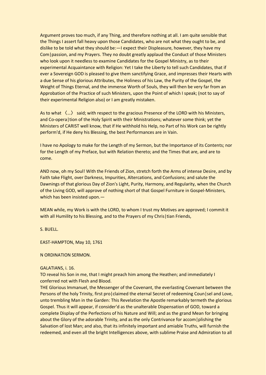Argument proves too much, if any Thing, and therefore nothing at all. I am quite sensible that the Things I assert fall heavy upon those Candidates, who are not what they ought to be, and dislike to be told what they should be:—I expect their Displeasure, however, they have my Com|passion, and my Prayers. They no doubt greatly applaud the Conduct of those Ministers who look upon it needless to examine Candidates for the Gospel Ministry, as to their experimental Acquaintance with Religion: Yet I take the Liberty to tell such Candidates, that if ever a Sovereign GOD is pleased to give them sanctifying Grace, and impresses their Hearts with a due Sense of his glorious Attributes, the Holiness of his Law, the Purity of the Gospel, the Weight of Things Eternal, and the immense Worth of Souls, they will then be very far from an Approbation of the Practice of such Ministers, upon the Point of which I speak; (not to say of their experimental Religion also) or I am greatly mistaken.

As to what 〈…〉 said; with respect to the gracious Presence of the LORD with his Ministers, and Co-opera|tion of the Holy Spirit with their Ministrations; whatever some think; yet the Ministers of CARIST well know, that if He withhold his Help, no Part of his Work can be rightly perform'd, if He deny his Blessing, the best Performances are in Vain.

I have no Apology to make for the Length of my Sermon, but the Importance of its Contents; nor for the Length of my Preface, but with Relation thereto; and the Times that are, and are to come.

AND now, oh my Soul! With the Friends of Zion, stretch forth the Arms of intense Desire, and by Faith take Flight, over Darkness, Impurities, Altercations, and Confusions; and salute the Dawnings of that glorious Day of Zion's Light, Purity, Harmony, and Regularity, when the Church of the Living GOD, will approve of nothing short of that Gospel Furniture in Gospel-Ministers, which has been insisted upon.—

MEAN while, my Work is with the LORD, to whom I trust my Motives are approved; I commit it with all Humility to his Blessing, and to the Prayers of my Chris | tian Friends,

S. BUELL.

EAST-HAMPTON, May 10, 1761

N ORDINATION SERMON.

#### GALATIANS, i. 16.

TO reveal his Son in me, that I might preach him among the Heathen; and immediately I conferred not with Flesh and Blood.

THE Glorious Immanuel, the Messenger of the Covenant, the everlasting Covenant between the Persons of the holy Trinity, first pro|claimed the eternal Secret of redeeming Coun|sel and Love, unto trembling Man in the Garden: This Revelation the Apostle remarkably termeth the glorious Gospel. Thus it will appear, if consider'd as the unalterable Dispensation of GOD, toward a complete Display of the Perfections of his Nature and Will; and as the grand Mean for bringing about the Glory of the adorable Trinity, and as the only Contrivance for accom | plishing the Salvation of lost Man; and also, that its infinitely important and amiable Truths, will furnish the redeemed, and even all the bright Intelligences above, with sublime Praise and Admiration to all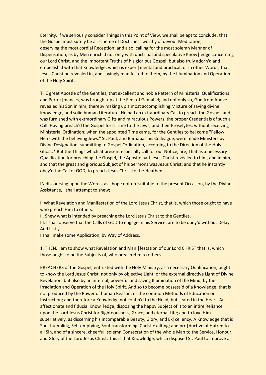Eternity. If we seriously consider Things in this Point of View, we shall be apt to conclude, that the Gospel must surely be a "scheme of Doctrines" worthy of devout Meditation, deserving the most cordial Reception; and also, calling for the most solemn Manner of Dispensation; as by Men enrich'd not only with doctrinal and speculative Know|ledge concerning our Lord Christ, and the important Truths of his glorious Gospel, but also truly adorn'd and embellish'd with that Knowledge, which is experi|mental and practical; or in other Words, that Jesus Christ be revealed in, and savingly manifested to them, by the Illumination and Operation of the Holy Spirit.

THE great Apostle of the Gentiles, that excellent and noble Pattern of Ministerial Qualifications and Perfor | mances, was brought up at the Feet of Gamaliel; and not only so, God from Above revealed his Son in him; thereby making up a most accomplishing Mixture of saving divine Knowledge, and solid human Literature. He had an extraordinary Call to preach the Gospel, and was furnished with extraordinary Gifts and miraculous Powers, the proper Credentials of such a Call. Having preach'd the Gospel for a Time to the Jews, and their Proselytes, without receiving Ministerial Ordination; when the appointed Time came, for the Gentiles to be|come "Fellow Heirs with the believing Jews," St. Paul, and Barnabas his Colleague, were made Ministers by Divine Designation, submitting to Gospel Ordination, according to the Direction of the Holy Ghost.\* But the Things which at present especially call for our Notice, are, That as a necessary Qualification for preaching the Gospel, the Apostle had Jesus Christ revealed to him, and in him; and that the great and glorious Subject of his Sermons was Jesus Christ; and that he instantly obey'd the Call of GOD, to preach Jesus Christ to the Heathen.

IN discoursing upon the Words, as I hope not un|suitable to the present Occasion, by the Divine Assistance, I shall attempt to shew;

I. What Revelation and Manifestation of the Lord Jesus Christ, that is, which those ought to have who preach Him to others.

II. Shew what is intended by preaching the Lord Jesus Christ to the Gentiles.

III. I shall observe that the Calls of GOD to engage in his Service, are to be obey'd without Delay. And lastly.

I shall make some Application, by Way of Address.

1. THEN, I am to show what Revelation and Mani|festation of our Lord CHRIST that is, which those ought to be the Subjects of, who preach Him to others.

PREACHERS of the Gospel, entrusted with the Holy Ministry, as a necessary Qualification, ought to know the Lord Jesus Christ, not only by objective Light, or the external directive Light of Divine Revelation; but also by an internal, powerful and saving Illumination of the Mind, by the Irradiation and Operation of the Holy Spirit. And so to become possess'd of a Knowledge, that is not produced by the Power of human Reason, or the common Methods of Education or Instruction; and therefore a Knowledge not confin'd to the Head, but seated in the Heart. An affectionate and fiducial Know|ledge; disposing the happy Subject of it to an intire Reliance upon the Lord Jesus Christ for Righteousness, Grace, and eternal Life; and to love Him superlatively, as discerning his incomparable Beauty, Glory, and Ex|cellency. A Knowledge that is Soul-humbling, Self-emptying, Soul-transforming, Christ-exalting; and pro|ductive of Hatred to all Sin, and of a sincere, cheerful, solemn Consecration of the whole Man to the Service, Honour, and Glory of the Lord Jesus Christ. This is that Knowledge, which disposed St. Paul to improve all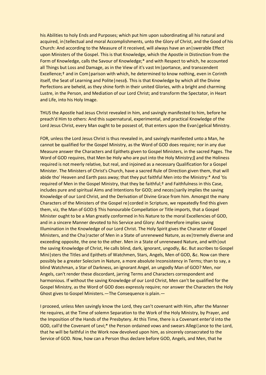his Abilities to holy Ends and Purposes; which put him upon subordinating all his natural and acquired, in | tellectual and moral Accomplishments, unto the Glory of Christ, and the Good of his Church: And according to the Measure of it received, will always have an an|swerable Effect upon Ministers of the Gospel. This is that Knowledge, which the Apostle in Distinction from the Form of Knowledge, calls the Savour of Knowledge;\* and with Respect to which, he accounted all Things but Loss and Damage, as in the View of it's vast Im|portance, and transcendent Excellence;<sup>†</sup> and in Com|parison with which, he determined to know nothing, even in Corinth itself, the Seat of Learning and Polite|ness§. This is that Knowledge by which all the Divine Perfections are beheld, as they shine forth in their united Glories, with a bright and charming Lustre, in the Person, and Mediation of our Lord Christ; and transform the Spectator, in Heart and Life, into his Holy Image.

THUS the Apostle had Jesus Christ revealed in him, and savingly manifested to him, before he preach'd Him to others: And this supernatural, experimental, and practical Knowledge of the Lord Jesus Christ, every Man ought to be possest of, that enters upon the Evan | gelical Ministry.

FOR, unless the Lord Jesus Christ is thus revealed in, and savingly manifested unto a Man, he cannot be qualified for the Gospel Ministry, as the Word of GOD does require; nor in any due Measure answer the Characters and Epithets given to Gospel Ministers, in the sacred Pages. The Word of GOD requires, that Men be Holy who are put into the Holy Ministry; and the Holiness required is not meerly relative, but real, and injoined as a necessary Qualification for a Gospel Minister. The Ministers of Christ's Church, have a sacred Rule of Direction given them, that will abide tho' Heaven and Earth pass away; that they put faithful Men into the Ministry:\* And 'tis required of Men in the Gospel Ministry, that they be faithful;<sup>†</sup> and Faithfulness in this Case, includes pure and spiritual Aims and Intentions for GOD; and neces|sarily implies the saving Knowledge of our Lord Christ, and the Derivation of Divine Grace from him. Amongst the many Characters of the Ministers of the Gospel re|corded in Scripture, we repeatedly find this given them, viz, the Man of GOD:§ This honourable Compellation or Title imports, that a Gospel Minister ought to be a Man greatly conformed in his Nature to the moral Excellencies of GOD, and in a sincere Manner devoted to his Service and Glory: And therefore implies saving Illumination in the Knowledge of our Lord Christ. The Holy Spirit gives the Character of Gospel Ministers, and the Cha|racter of Men in a State of unrenewed Nature, as ex|tremely diverse and exceeding opposite, the one to the other. Men in a State of unrenewed Nature, and with out the saving Knowledge of Christ, He calls blind, dark, ignorant, ungodly, &c. But ascribes to Gospel Mini|sters the Titles and Epithets of Watchmen, Stars, Angels, Men of GOD, &c. Now can there possibly be a greater Solecism in Nature, a more absolute Inconsistency in Terms; than to say, a blind Watchman, a Star of Darkness, an ignorant Angel, an ungodly Man of GOD? Men, nor Angels, can't render these discordant, jarring Terms and Characters correspondent and harmonious. If without the saving Knowledge of our Lord Christ, Men can't be qualified for the Gospel Ministry, as the Word of GOD does expressly require; nor answer the Characters the Holy Ghost gives to Gospel Ministers.—The Consequence is plain.—

I proceed, unless Men savingly know the Lord, they can't covenant with Him, after the Manner He requires, at the Time of solemn Separation to the Work of the Holy Ministry, by Prayer, and the Imposition of the Hands of the Presbytery. At this Time, there is a Covenant enter'd into the GOD, call'd the Covenant of Levi;\* the Person ordained vows and swears Allegi ance to the Lord, that he will be faithful in the Work now devolved upon him, as sincerely consecrated to the Service of GOD. Now, how can a Person thus declare before GOD, Angels, and Men, that he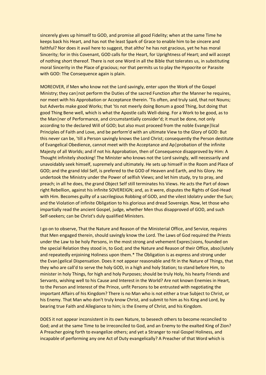sincerely gives up himself to GOD, and promise all good Fidelity; when at the same Time he keeps back his Heart, and has not the least Spark of Grace to enable him to be sincere and faithful? Nor does it avail here to suggest, that altho' he has not gracious, yet he has moral Sincerity; for in this Covenant, GOD calls for the Heart, for Uprightness of Heart; and will accept of nothing short thereof. There is not one Word in all the Bible that tolerates us, in substituting moral Sincerity in the Place of gracious; nor that permits us to play the Hypocrite or Parasite with GOD: The Consequence again is plain.

MOREOVER, if Men who know not the Lord savingly, enter upon the Work of the Gospel Ministry; they can | not perform the Duties of the sacred Function after the Manner he requires, nor meet with his Approbation or Acceptance therein. 'Tis often, and truly said, that not Nouns; but Adverbs make good Works; that 'tis not meerly doing Bonum a good Thing, but doing that good Thing Bene well, which is what the Apostle calls Well-doing. For a Work to be good, as to the Man|ner of Performance, and circumstantially consider'd; it must be done, not only according to the declared Will of GOD; but also must proceed from the noble Evange|lical Principles of Faith and Love, and be perform'd with an ultimate View to the Glory of GOD: But this never can be, 'till a Person savingly knows the Lord Christ; consequently the Person destitute of Evangelical Obedience, cannot meet with the Acceptance and Ap|probation of the infinite Majesty of all Worlds; and if not his Approbation, then of Consequence disapproved by Him: A Thought infinitely shocking! The Minister who knows not the Lord savingly, will necessarily and unavoidably seek himself, supremely and ultimately. He sets up himself in the Room and Place of GOD; and the grand Idol Self, is prefered to the GOD of Heaven and Earth, and his Glory. He undertook the Ministry under the Power of selfish Views; and let him study, try to pray, and preach; in all he does, the grand Object Self still terminates his Views. He acts the Part of down right Rebellion, against his infinite SOVEREIGN; and, as it were, disputes the Rights of God-Head with Him. Becomes guilty of a sacrilegious Robbing of GOD, and the vilest Idolatry under the Sun; and the Violation of infinite Obligation to his glorious and dread Sovereign. Now, let those who impartially read the ancient Gospel, judge, whether Men thus disapproved of GOD, and such Self-seekers; can be Christ's duly qualified Ministers.

I go on to observe, That the Nature and Reason of the Ministerial Office, and Service, requires that Men engaged therein, should savingly know the Lord. The Laws of God required the Priests under the Law to be holy Persons, in the most strong and vehement Expres sions, founded on the special Relation they stood in, to God; and the Nature and Reason of their Office, abso|lutely and repeatedly enjoining Holiness upon them.\* The Obligation is as express and strong under the Evan|gelical Dispensation. Does it not appear reasonable and fit in the Nature of Things, that they who are call'd to serve the holy GOD, in a high and holy Station; to stand before Him, to minister in holy Things, for high and holy Purposes; should be truly Holy, his hearty Friends and Servants, wishing well to his Cause and Interest in the World? Are not known Enemies in Heart, to the Person and Interest of the Prince, unfit Persons to be entrusted with negotiating the important Affairs of his Kingdom? There is no Man who is not either a true Subject to Christ, or his Enemy. That Man who don't truly know Christ, and submit to him as his King and Lord, by bearing true Faith and Allegiance to him; is the Enemy of Christ, and his Kingdom.

DOES it not appear inconsistent in its own Nature, to beseech others to become reconciled to God; and at the same Time to be irreconciled to God, and an Enemy to the exalted King of Zion? A Preacher going forth to evangelize others; and yet a Stranger to real Gospel Holiness, and incapable of performing any one Act of Duty evangelically? A Preacher of that Word which is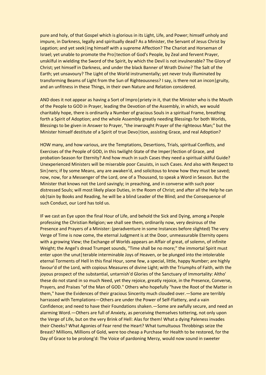pure and holy, of that Gospel which is glorious in its Light, Life, and Power; himself unholy and impure, in Darkness, legally and spiritually dead? As a Minister, the Servant of Jesus Christ by Legation; and yet seek|ing himself with a supreme Affection? The Chariot and Horseman of Israel; yet unable to promote the Pro|tection of God's People, by Zeal and fervent Prayer, unskilful in wielding the Sword of the Spirit, by which the Devil is not invulnerable? The Glory of Christ; yet himself in Darkness, and under the black Banner of Wrath Divine? The Salt of the Earth; yet unsavoury? The Light of the World instrumentally; yet never truly illuminated by transforming Beams of Light from the Sun of Righteousness? I say, is there not an incon|gruity, and an unfitness in these Things, in their own Nature and Relation considered.

AND does it not appear as having a Sort of Impro | priety in it, that the Minister who is the Mouth of the People to GOD in Prayer, leading the Devotion of the Assembly, in which, we would charitably hope, there is ordinarily a Number of gracious Souls in a spiritual Frame, breathing forth a Spirit of Adoption; and the whole Assembly greatly needing Blessings for both Worlds, Blessings to be given in Answer to Prayer, "the inwrought Prayer of the righteous Man;" but the Minister himself destitute of a Spirit of true Devo|tion, assisting Grace, and real Adoption?

HOW many, and how various, are the Temptations, Desertions, Trials, spiritual Conflicts, and Exercises of the People of GOD, in this twilight-State of the Imper|fection of Grace, and probation-Season for Eternity? And how much in such Cases they need a spiritual skilful Guide? Unexperienced Ministers will be miserable poor Casuists, in such Cases. And also with Respect to Sin|ners; if by some Means, any are awaken'd, and solicitous to know how they must be saved; now, now, for a Messenger of the Lord, one of a Thousand, to speak a Word in Season. But the Minister that knows not the Lord savingly; in preaching, and in converse with such poor distressed Souls; will most likely place Duties, in the Room of Christ; and after all the Help he can ob|tain by Books and Reading, he will be a blind Leader of the Blind; and the Consequence of such Conduct, our Lord has told us.

IF we cast an Eye upon the final Hour of Life, and behold the Sick and Dying, among a People professing the Christian Religion; we shall see them, ordinarily now, very desirous of the Presence and Prayers of a Minister: (peradventure in some Instances before slighted) The very Verge of Time is now come, the eternal Judgment is at the Door, unmeasurable Eternity opens with a growing View; the Exchange of Worlds appears an Affair of great, of solemn, of infinite Weight; the Angel's dread Trumpet sounds, "Time shall be no more;" the immortal Spirit must enter upon the unut | terable interminable Joys of Heaven, or be plunged into the intolerable eternal Torments of Hell In this final Hour, some few, a special, little, happy Number; are highly favour'd of the Lord, with copious Measures of divine Light; with the Triumphs of Faith, with the joyous prospect of the substantial, untarnish'd Glories of the Sanctuary of Immortality: Altho' these do not stand in so much Need, yet they rejoice, greatly rejoice, in the Presence, Converse, Prayers, and Praises "of the Man of GOD." Others who hopefully "have the Root of the Matter in them," have the Evidences of their gracious Sincerity much clouded over.—Some are terribly harrassed with Templations—Others are under the Power of Self-Flattery, and a vain Confidence; and need to have their Foundations shaken.—Some are awfully secure, and need an alarming Word.—Others are full of Anxiety, as perceiving themselves tottering, not only upon the Verge of Life, but on the very Brink of Hell: Alas for them! What a dying Paleness invades their Cheeks? What Agonies of Fear rend the Heart? What tumultuous Throbbings seize the Breast? Millions, Millions of Gold, were too cheap a Purchase for Health to be restored, for the Day of Grace to be prolong'd: The Voice of pardoning Mercy, would now sound in sweeter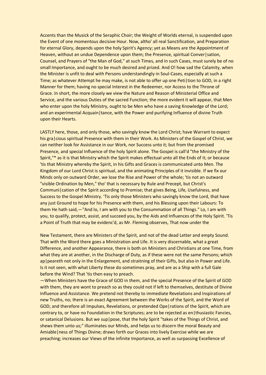Accents than the Musick of the Seraphic Choir; the Weight of Worlds eternal, is suspended upon the Event of one momentous decisive Hour. Now, altho' all real Sanctification, and Preparation for eternal Glory, depends upon the holy Spirit's Agency; yet as Means are the Appointment of Heaven, without an undue Dependence upon them; the Presence, spiritual Conver | sation, Counsel, and Prayers of "the Man of God," at such Times, and in such Cases, must surely be of no small Importance, and ought to be much desired and prized. And O! how sad the Calamity, when the Minister is unfit to deal with Persons understandingly in Soul-Cases, especially at such a Time; as whatever Attempt he may make, is not able to offer up one Peti | tion to GOD, in a right Manner for them; having no special Interest in the Redeemer, nor Access to the Throne of Grace. In short, the more closely we view the Nature and Reason of Ministerial Office and Service, and the various Duties of the sacred Function; the more evident it will appear, that Men who enter upon the holy Ministry, ought to be Men who have a saving Knowledge of the Lord; and an experimental Acquain | tance, with the Power and purifying Influence of divine Truth upon their Hearts.

LASTLY here, those, and only those, who savingly know the Lord Christ; have Warrant to expect his gra|cious spiritual Presence with them in their Work. As Ministers of the Gospel of Christ, we can neither look for Assistance in our Work, nor Success unto it; but from the promised Presence, and special Influence of the holy Spirit alone. The Gospel is call'd "the Ministry of the Spirit,"\* as it is that Ministry which the Spirit makes effectual unto all the Ends of it; or because 'tis that Ministry whereby the Spirit, in his Gifts and Graces is communicated unto Men. The Kingdom of our Lord Christ is spiritual, and the animating Principles of it invisible. If we fix our Minds only on outward Order, we lose the Rise and Power of the whole; 'tis not an outward "visible Ordination by Men," tho' that is necessary by Rule and Precept, but Christ's Communi|cation of the Spirit according to Promise; that gives Being, Life, Usefulness, and Success to the Gospel Ministry. 'Tis only those Ministers who savingly know the Lord, that have any just Ground to hope for his Presence with them, and his Blessing upon their Labours: To them He hath said,—"And lo, I am with you to the Consummation of all Things." Lo, I am with you, to qualify, protect, assist, and succeed you, by the Aids and Influences of the Holy Spirit. 'Tis a Point of Truth that may be evidenc'd, as Mr. Fleming observes, That now under the

New Testament, there are Ministers of the Spirit, and not of the dead Letter and empty Sound. That with the Word there goes a Ministration and Life. It is very discernable, what a great Difference, and another Appearance, there is both on Ministers and Christians at one Time, from what they are at another, in the Discharge of Duty, as if these were not the same Persons; which ap | peareth not only in the Enlargement, and straitning of their Gifts, but also in Power and Life. Is it not seen, with what Liberty these do sometimes pray, and are as a Ship with a full Gale before the Wind? That 'tis then easy to preach.

—When Ministers have the Grace of GOD in them, and the special Presence of the Spirit of GOD with them, they are wont to preach so as they could not if left to themselves, destitute of Divine Influence and Assistance. We pretend not thereby to immediate Revelations and Inspirations of new Truths, no; there is an exact Agreement between the Works of the Spirit, and the Word of GOD; and therefore all Impulses, Revelations, or pretended Ope|rations of the Spirit, which are contrary to, or have no Foundation in the Scriptures; are to be rejected as en thusiastic Fancies, or satanical Delusions. But we sup|pose, that the holy Spirit "takes of the Things of Christ, and shews them unto us;" illuminates our Minds, and helps us to discern the moral Beauty and Amiable|ness of Things Divine; draws forth our Graces into lively Exercise while we are preaching; increases our Views of the infinite Importance, as well as surpassing Excellence of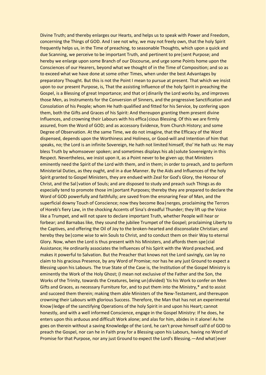Divine Truth; and thereby enlarges our Hearts, and helps us to speak with Power and Freedom, concerning the Things of GOD. And I see not why, we may not freely own, that the holy Spirit frequently helps us, in the Time of preaching, to seasonable Thoughts, which upon a quick and due Scanning, we perceive to be important Truth, and pertinent to pre|sent Purpose; and hereby we enlarge upon some Branch of our Discourse, and urge some Points home upon the Consciences of our Hearers, beyond what we thought of in the Time of Composition; and so as to exceed what we have done at some other Times, when under the best Advantages by preparatory Thought. But this is not the Point I mean to pursue at present. That which we insist upon to our present Purpose, is, That the assisting Influence of the holy Spirit in preaching the Gospel, is a Blessing of great Importance; and that or|dinarily the Lord works by, and improves those Men, as Instruments for the Conversion of Sinners, and the progressive Sanctification and Consolation of his People; whom He hath qualified and fitted for his Service, by confering upon them, both the Gifts and Graces of his Spirit: And thereupon granting them present divine Influences, and crowning their Labours with his effica|cious Blessing. Of this we are firmly assured, from the Word of GOD; and as accessory Evidence, from Church History; and some Degree of Observation. At the same Time, we do not imagine, that the Efficacy of the Word dispensed, depends upon the Worthiness and Holiness, or Good-will and Intention of him that speaks, no; the Lord is an infinite Sovereign, He hath not limited himself, tho' He hath us: He may bless Truth by whomsoever spoken; and sometimes displays his ab solute Sovereignty in this Respect. Nevertheless, we insist upon it, as a Point never to be given up; that Ministers eminently need the Spirit of the Lord with them, and in them; in order to preach, and to perform Ministerial Duties, as they ought, and in a due Manner. By the Aids and Influences of the holy Spirit granted to Gospel Ministers, they are endued with Zeal for God's Glory, the Honour of Christ, and the Sal|vation of Souls; and are disposed to study and preach such Things as do especially tend to promote those im | portant Purposes; thereby they are prepared to declare the Word of GOD powerfully and faithfully; are saved from the ensnaring Fear of Man, and the superficial downy Touch of Conscience; now they become Boa|nerges, proclaiming the Terrors of Horeb's fiery Law, in the shocking Accents of Sina's dreadful Thunder; they lift up the Voice like a Trumpet, and will not spare to declare important Truth, whether People will hear or forbear; and Barnabas like, they sound the jubilee Trumpet of the Gospel; proclaiming Liberty to the Captives, and offering the Oil of Joy to the broken-hearted and disconsolate Christian; and hereby they be | come wise to win Souls to Christ, and to conduct them on their Way to eternal Glory. Now, when the Lord is thus present with his Ministers, and affords them spe|cial Assistance; He ordinarily associates the Influences of his Spirit with the Word preached, and makes it powerful to Salvation. But the Preacher that knows not the Lord savingly, can lay no claim to his gracious Presence, by any Word of Promise; nor has he any just Ground to expect a Blessing upon his Labours. The true State of the Case is, the Institution of the Gospel Ministry is eminently the Work of the Holy Ghost; (I mean not exclusive of the Father and the Son, the Works of the Trinity, towards the Creatures, being un|divided) 'tis his Work to confer on Men Gifts and Graces, as necessary Furniture for, and to put them into the Ministry,\* and to assist and succeed them therein; making them able Ministers of the New-Testament, and thereupon crowning their Labours with glorious Success. Therefore, the Man that has not an experimental Know|ledge of the sanctifying Operations of the holy Spirit in and upon his Heart; cannot honestly, and with a well informed Conscience, engage in the Gospel Ministry: If he does, he enters upon this arduous and difficult Work alone; and alas for him, abides in it alone! As he goes on therein without a saving Knowledge of the Lord, he can't prove himself call'd of GOD to preach the Gospel, nor can he in Faith pray for a Blessing upon his Labours, having no Word of Promise for that Purpose, nor any just Ground to expect the Lord's Blessing.—And what|ever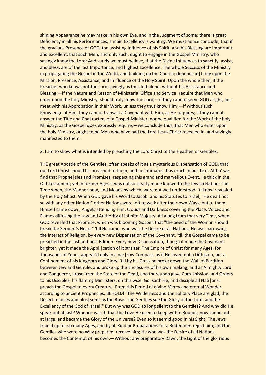shining Appearance he may make in his own Eye, and in the Judgment of some; there is great Deficiency in all his Performances, a main Excellency is wanting. We must hence conclude, that if the gracious Presence of GOD, the assisting Influence of his Spirit, and his Blessing are important and excellent; that such Men, and only such, ought to engage in the Gospel Ministry, who savingly know the Lord: And surely we must believe, that the Divine Influences to sanctify, assist, and bless; are of the last Importance, and highest Excellence. The whole Success of the Ministry in propagating the Gospel in the World, and building up the Church; depends in|tirely upon the Mission, Presence, Assistance, and In|fluence of the Holy Spirit. Upon the whole then, if the Preacher who knows not the Lord savingly, is thus left alone, without his Assistance and Blessing;—if the Nature and Reason of Ministerial Office and Service, require that Men who enter upon the holy Ministry, should truly know the Lord;—if they cannot serve GOD aright, nor meet with his Approbation in their Work, unless they thus know Him;—if without such Knowledge of Him, they cannot transact a Covenant with Him, as He requires; if they cannot answer the Title and Cha|racters of a Gospel-Minister, nor be qualified for the Work of the holy Ministry, as the Gospel does expressly require;—we conclude thus, that Men who enter upon the holy Ministry, ought to be Men who have had the Lord Jesus Christ revealed in, and savingly manifested to them.

2. I am to show what is intended by preaching the Lord Christ to the Heathen or Gentiles.

THE great Apostle of the Gentiles, often speaks of it as a mysterious Dispensation of GOD, that our Lord Christ should be preached to them; and he intimates thus much in our Text. Altho' we find that Prophe|sies and Promises, respecting this grand and marvellous Event, lie thick in the Old-Testament; yet in former Ages it was not so clearly made known to the Jewish Nation: The Time when, the Manner how, and Means by which, were not well understood, 'till now revealed by the Holy Ghost. When GOD gave his Word to Jacob, and his Statutes to Israel, "He dealt not so with any other Nation;" other Nations were left to walk after their own Ways, but to them Himself came down, Angels attending Him, Clouds and Darkness covering the Place, Voices and Flames diffusing the Law and Authority of infinite Majesty. All along from that very Time, when GOD revealed that Promise, which was blooming Gospel; that "the Seed of the Woman should break the Serpent's Head," 'till He came, who was the Desire of all Nations; He was narrowing the Interest of Religion, by every new Dispensation of the Covenant, 'till the Gospel came to be preached in the last and best Edition. Every new Dispensation, though it made the Covenant brighter, yet it made the Appli|cation of it straiter. The Empire of Christ for many Ages, for Thousands of Years, appear'd only in a nar|row Compass, as if He loved not a Diffusion, but a Confinement of his Kingdom and Glory; 'till by his Cross he broke down the Wall of Partition between Jew and Gentile, and broke up the Enclosures of his own making; and as Almighty Lord and Conqueror, arose from the State of the Dead, and thereupon gave Com | mission, and Orders to his Disciples, his flaming Mini|sters, on this wise, Go, saith He, and disciple all Nati|ons, preach the Gospel to every Creature. From this Period of divine Mercy and eternal Wonder, according to ancient Prophecies, BEHOLD! "The Wilderness and the solitary Place are glad, the Desert rejoices and blos | soms as the Rose! The Gentiles see the Glory of the Lord, and the Excellency of the God of Israel!" But why was GOD so long silent to the Gentiles? And why did He speak out at last? Whence was it, that the Love He used to keep within Bounds, now shone out at large, and became the Glory of the Universe? Even so it seem'd good in his Sight! The Jews train'd up for so many Ages, and by all Kind or Preparations for a Redeemer, reject him; and the Gentiles who were no Way prepared, receive him; He who was the Desire of all Nations, becomes the Contempt of his own.—Without any preparatory Dawn, the Light of the glo rious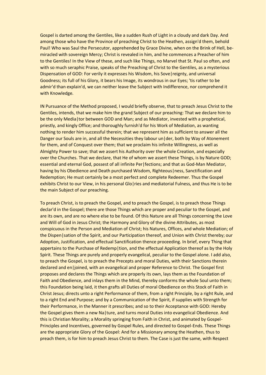Gospel is darted among the Gentiles, like a sudden Rush of Light in a cloudy and dark Day. And among those who have the Province of preaching Christ to the Heathen, assign'd them, behold Paul! Who was Saul the Persecutor, apprehended by Grace Divine, when on the Brink of Hell, bemiracled with sovereign Mercy; Christ is revealed in him, and he commences a Preacher of him to the Gentiles! In the View of these, and such like Things, no Marvel that St. Paul so often, and with so much seraphic Praise, speaks of the Preaching of Christ to the Gentiles, as a mysterious Dispensation of GOD: For verily it expresses his Wisdom, his Sove|reignty, and universal Goodness; its full of his Glory, it bears his Image, its wondrous in our Eyes; 'tis rather to be admir'd than explain'd, we can neither leave the Subject with Indifference, nor comprehend it with Knowledge.

IN Pursuance of the Method proposed, I would briefly observe, that to preach Jesus Christ to the Gentiles, intends, that we make him the grand Subject of our preaching: That we declare him to be the only Media | tor between GOD and Man; and as Mediator, invested with a prophetical, priestly, and kingly Office; and thoroughly furnish'd for his Work of Mediation, as wanting nothing to render him successful therein; that we represent him as sufficient to answer all the Danger our Souls are in, and all the Necessities they labour un | der, both by Way of Atonement for them, and of Conquest over them; that we proclaim his infinite Willingness, as well as Almighty Power to save; that we assert his Authority over the whole Creation, and especially over the Churches. That we declare, that He of whom we assert these Things, is by Nature GOD; essential and eternal God, possest of all infinite Per|fections; and that as God-Man Mediator, having by his Obedience and Death purchased Wisdom, Righteous | ness, Sanctification and Redemption; He must certainly be a most perfect and complete Redeemer. Thus the Gospel exhibits Christ to our View, in his personal Glo|ries and mediatorial Fulness, and thus He is to be the main Subject of our preaching.

To preach Christ, is to preach the Gospel, and to preach the Gospel, is to preach those Things declar'd in the Gospel; there are those Things which are proper and peculiar to the Gospel, and are its own, and are no where else to be found. Of this Nature are all Things concerning the Love and Will of God in Jesus Christ; the Harmony and Glory of the divine Attributes, as most conspicuous in the Person and Mediation of Christ; his Natures, Offices, and whole Mediation; of the Dispen|sation of the Spirit, and our Participation thereof, and Union with Christ thereby; our Adoption, Justification, and effectual Sanctification thence proceeding. In brief, every Thing that appertains to the Purchase of Redemp|tion, and the effectual Application thereof as by the Holy Spirit. These Things are purely and properly evangelical, peculiar to the Gospel alone. I add also, to preach the Gospel, is to preach the Precepts and moral Duties, with their Sanctions therein declared and en|joined, with an evangelical and proper Reference to Christ. The Gospel first proposes and declares the Things which are properly its own, lays them as the Foundation of Faith and Obedience, and inlays them in the Mind, thereby conforms the whole Soul unto them; this Foundation being laid, it then grafts all Duties of moral Obedience on this Stock of Faith in Christ Jesus; directs unto a right Performance of them, from a right Principle, by a right Rule, and to a right End and Purpose; and by a Communication of the Spirit, if supplies with Strength for their Performance, in the Manner it prescribes; and so to their Acceptance with GOD: Hereby the Gospel gives them a new Na|ture, and turns moral Duties into evangelical Obedience. And this is Christian Morality; a Morality springing from Faith in Christ, and animated by Gospel-Principles and Incentives, governed by Gospel Rules, and directed to Gospel-Ends. These Things are the appropriate Glory of the Gospel: And for a Missionary among the Heathen, thus to preach them, is for him to preach Jesus Christ to them. The Case is just the same, with Respect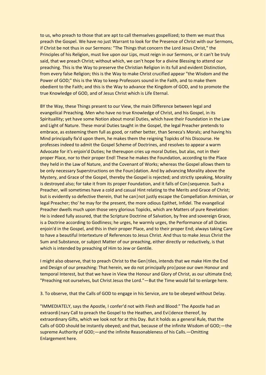to us, who preach to those that are apt to call themselves gospellized; to them we must thus preach the Gospel. We have no just Warrant to look for the Presence of Christ with our Sermons, if Christ be not thus in our Sermons: "The Things that concern the Lord Jesus Christ," the Principles of his Religion, must live upon our Lips, must reign in our Sermons, or it can't be truly said, that we preach Christ; without which, we can't hope for a divine Blessing to attend our preaching. This is the Way to preserve the Christian Religion in its full and evident Distinction, from every false Religion; this is the Way to make Christ crucified appear "the Wisdom and the Power of GOD;" this is the Way to keep Professors sound in the Faith, and to make them obedient to the Faith; and this is the Way to advance the Kingdom of GOD, and to promote the true Knowledge of GOD, and of Jesus Christ which is Life Eternal.

BY the Way, these Things present to our View, the main Difference between legal and evangelical Preaching. Men who have no true Knowledge of Christ, and his Gospel, in its Spirituallity; yet have some Notion about moral Duties, which have their Foundation in the Law and Light of Nature. These moral Duties taught in the Gospel, the legal Preacher pretends to embrace, as esteeming them full as good, or rather better, than Seneca's Morals; and having his Mind principally fix'd upon them, he makes them the reigning Topicks of his Discourse. He professes indeed to admit the Gospel Scheme of Doctrines, and resolves to appear a warm Advocate for it's enjoin'd Duties; he thereupon cries up moral Duties, but alas, not in their proper Place, nor to their proper End! These he makes the Foundation, according to the Place they held in the Law of Nature, and the Covenant of Works; whereas the Gospel allows them to be only necessary Superstructions on the Foun | dation. And by advancing Morality above the Mystery, and Grace of the Gospel, thereby the Gospel is rejected; and strictly speaking, Morality is destroyed also; for take it from its proper Foundation, and it falls of Con|sequence. Such a Preacher, will sometimes have a cold and casual Hint relating to the Merits and Grace of Christ; but is evidently so defective therein, that he can not justly escape the Compellation Arminian, or legal Preacher; tho' he may for the present, the more odious Epithet, Infidel. The evangelical Preacher dwells much upon those very glorious Topicks, which are Matters of pure Revelation: He is indeed fully assured, that the Scripture Doctrine of Salvation, by free and sovereign Grace, is a Doctrine according to Godliness; he urges, he warmly urges, the Performance of all Duties enjoin'd in the Gospel, and this in their proper Place, and to their proper End; always taking Care to have a beautiful Intertexture of References to Jesus Christ. And thus to make Jesus Christ the Sum and Substance, or subject Matter of our preaching, either directly or reductively, is that which is intended by preaching of Him to Jew or Gentile.

I might also observe, that to preach Christ to the Gen|tiles, intends that we make Him the End and Design of our preaching: That herein, we do not principally pro | pose our own Honour and temporal Interest, but that we have in View the Honour and Glory of Christ, as our ultimate End; "Preaching not ourselves, but Christ Jesus the Lord."—But the Time would fail to enlarge here.

3. To observe, that the Calls of GOD to engage in his Service, are to be obeyed without Delay.

"IMMEDIATELY, says the Apostle, I confer'd not with Flesh and Blood:" The Apostle had an extraordi nary Call to preach the Gospel to the Heathen, and Evi dence thereof, by extraordinary Gifts, which we look not for at this Day. But it holds as a general Rule, that the Calls of GOD should be instantly obeyed; and that, because of the infinite Wisdom of GOD;—the supreme Authority of GOD;—and the infinite Reasonableness of his Calls.—Omitting Enlargement here.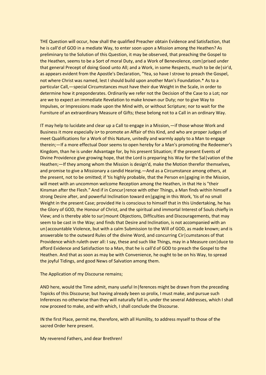THE Question will occur, how shall the qualified Preacher obtain Evidence and Satisfaction, that he is call'd of GOD in a mediate Way, to enter soon upon a Mission among the Heathen? As preliminary to the Solution of this Question, it may be observed, that preaching the Gospel to the Heathen, seems to be a Sort of moral Duty, and a Work of Benevolence, com|prised under that general Precept of doing Good unto All; and a Work, in some Respects, much to be de|sir'd, as appears evident from the Apostle's Declaration, "Yea, so have I strove to preach the Gospel, not where Christ was named, lest I should build upon another Man's Foundation.\* As to a particular Call,—special Circumstances must have their due Weight in the Scale, in order to determine how it preponderates. Ordinarily we refer not the Decision of the Case to a Lot; nor are we to expect an immediate Revelation to make known our Duty; nor to give Way to Impulses, or Impressions made upon the Mind with, or without Scripture; nor to wait for the Furniture of an extraordinary Measure of Gifts; these belong not to a Call in an ordinary Way.

IT may help to lucidate and clear up a Call to engage in a Mission,—if those whose Work and Business it more especially is • to promote an Affair of this Kind, and who are proper Judges of meet Qualifications for a Work of this Nature, unitedly and warmly apply to a Man to engage therein;—If a more effectual Door seems to open hereby for a Man's promoting the Redeemer's Kingdom, than he is under Advantage for, by his present Situation; If the present Events of Divine Providence give growing hope, that the Lord is preparing his Way for the Sal|vation of the Heathen;—If they among whom the Mission is design'd, make the Motion therefor themselves, and promise to give a Missionary a candid Hearing.—And as a Circumstance among others, at the present, not to be omitted; if 'tis highly probable, that the Person en|gaging in the Mission, will meet with an uncommon welcome Reception among the Heathen, in that He is "their Kinsman after the Flesh." And if in Concur|rence with other Things, a Man finds within himself a strong Desire after, and powerful Inclination toward en|gaging in this Work, 'tis of no small Weight in the present Case; provided He is conscious to himself that in this Undertaking, he has the Glory of GOD, the Honour of Christ, and the spiritual and immortal Interest of Souls chiefly in View; and is thereby able to sur|mount Objections, Difficulties and Discouragements, that may seem to be cast in the Way; and finds that Desire and Inclination, is not accompanied with an un | accountable Violence, but with a calm Submission to the Will of GOD, as made known; and is answerable to the outward Rules of the divine Word, and concurring Cir|cumstances of that Providence which ruleth over all: I say, these and such like Things, may in a Measure con|duce to afford Evidence and Satisfaction to a Man, that he is call'd of GOD to preach the Gospel to the Heathen. And that as soon as may be with Convenience, he ought to be on his Way, to spread the joyful Tidings, and good News of Salvation among them.

#### The Application of my Discourse remains;

AND here, would the Time admit, many useful In|ferences might be drawn from the preceding Topicks of this Discourse; but having already been so prolix, I must make, and pursue such Inferences no otherwise than they will naturally fall in, under the several Addresses, which I shall now proceed to make, and with which, I shall conclude the Discourse.

IN the first Place, permit me, therefore, with all Humility, to address myself to those of the sacred Order here present.

#### My reverend Fathers, and dear Brethren!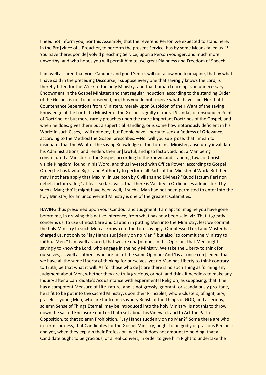I need not inform you, nor this Assembly, that the reverend Person we expected to stand here, in the Pro|vince of a Preacher, to perform the present Service, has by some Means failed us."\* You have thereupon de|volv'd preaching Service, upon a Person younger, and much more unworthy; and who hopes you will permit him to use great Plainness and Freedom of Speech.

I am well assured that your Candour and good Sense, will not allow you to imagine, that by what I have said in the preceding Discourse, I suppose every one that savingly knows the Lord, is thereby fitted for the Work of the holy Ministry, and that human Learning is an unnecessary Endowment in the Gospel Minister; and that regular Induction, according to the standing Order of the Gospel, is not to be observed; no, thus you do not receive what I have said: Nor that I Countenance Seperations from Ministers, merely upon Suspicion of their Want of the saving Knowledge of the Lord. If a Minister of the Gospel is guilty of moral Scandal, or unsound in Point of Doctrine; or but more rarely preaches upon the more important Doctrines of the Gospel, and when he does, gives them but a superficial Handling; or is some how notoriously deficient in his Work · in such Cases, I will not deny, but People have Liberty to seek a Redress of Grievance, according to the Method the Gospel prescribes.—Nor will you sup|pose, that I mean to insinuate, that the Want of the saving Knowledge of the Lord in a Minister, absolutely invalidates his Administrations, and renders then un | lawful, and ipso facto void; no, a Man being consti|tuted a Minister of the Gospel, according to the known and standing Laws of Christ's visible Kingdom, found in his Word, and thus invested with Office Power, according to Gospel Order; he has lawful Right and Authority to perform all Parts of the Ministerial Work. But then, may I not here apply that Maxim, in use both by Civilians and Divines? "Quod factum fieri non debet, factum valet;" at least so far avails, that there is Validity in Ordinances administer'd by such a Man; tho' it might have been well, if such a Man had not been permitted to enter into the holy Ministry; for an unconverted Ministry is one of the greatest Calamities.

HAVING thus presumed upon your Candour and Judgment, I am apt to imagine you have gone before me, in drawing this native Inference, from what has now been said, viz. That it greatly concerns us, to use utmost Care and Caution in putting Men into the Mini | stry, lest we commit the holy Ministry to such Men as known not the Lord savingly. Our blessed Lord and Master has charged us, not only to "lay Hands sud|denly on no Man," but also "to commit the Ministry to faithful Men." I am well assured, that we are una | nimous in this Opinion, that Men ought savingly to know the Lord, who engage in the holy Ministry. We take the Liberty to think for ourselves, as well as others, who are not of the same Opinion: And 'tis at once con|ceded, that we have all the same Liberty of thinking for ourselves, yet no Man has Liberty to think contrary to Truth, be that what it will. As for those who de clare there is no such Thing as forming any Judgment about Men, whether they are truly gracious, or not; and think it needless to make any Inquiry after a Can|didate's Acquaintance with experimental Religion; as supposing, that if he has a compotent Measure of Lite|rature, and is not grossly ignorant, or scandalously pro|fane, he is fit to be put into the sacred Ministry; upon their Principles, whole Clusters, of light, airy, graceless young Men; who are far from a savoury Relish of the Things of GOD, and a serious, solemn Sense of Things Eternal; may be introduced into the holy Ministry: Is not this to throw down the sacred Enclosure our Lord hath set about his Vineyard, and to Act the Part of Opposition, to that solemn Prohibition, "Lay Hands suddenly on no Man?" Some there are who in Terms profess, that Candidates for the Gospel Ministry, ought to be godly or gracious Persons; and yet, when they explain their Profession, we find it does not amount to holding, that a Candidate ought to be gracious, or a real Convert, in order to give him Right to undertake the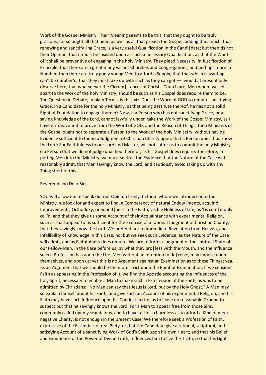Work of the Gospel Ministry. Their Meaning seems to be this, that they ought to be truly gracious; for so ought all that hear, as well as all that preach the Gospel; adding thus much, that renewing and sanctify|ing Grace, is a very useful Qualification in the Candi|date; but then tis not their Opinion, that it must be insisted upon as such a necessary Qualification, as that the Want of it shall be preventive of engaging in the holy Ministry. They plead Necessity, in Justification of Principle; that there are a great many vacant Churches and Congregations, and perhaps more in Number, than there are truly godly young Men to afford a Supply; that that which is wanting can't be number'd, that they must take up with such as they can get.—I would at present only observe here, that whatsoever the Circum|stances of Christ's Church are, Men whom we set apart to the Work of the holy Ministry, should be such as his Gospel does require them to be. The Question in Debate, in plain Terms, is this, viz. Does the Word of GOD so require sanctifying Grace, in a Candidate for the holy Ministry, as that being destitute thereof, he has not a solid Right of Foundation to engage therein? Now, if a Person who has not sanctifying Grace, or a saving Knowledge of the Lord, cannot lawfully under | take the Work of the Gospel Ministry, as I have en | deavour'd to prove from the Word of GOD, and the Reason of Things; then Ministers of the Gospel ought not to seperate a Person to the Work of the holy Mini | stry, without having Evidence sufficient to found a Judgment of Christian Charity upon, that a Person does thus know the Lord: For Faithfulness to our Lord and Master, will not suffer us to commit the holy Ministry o a Person that we do not judge qualified therefor, as his Gospel does require: Therefore, in putting Men into the Ministry, we must seek all the Evidence that the Nature of the Case will reasonably admit, that Men savingly know the Lord, and cautiously avoid taking up with any Thing short of this.

#### Reverend and Dear Sirs,

YOU will allow me to speak out our Opinion freely. In them whom we introduce into the Ministry, we look for and expect to find, a Competency of natural Endow|ments, acquir'd Improvements, Orthodoxy, or Sound|ness in the Faith, visible Holiness of Life, as 'tis com|monly call'd, and that they give us some Account of their Acquaintance with experimental Religion, such as shall appear to us sufficient for the Exercise of a rational Judgment of Christian Charity, that they savingly know the Lord. We pretend not to immediate Revelation from Heaven, and Infallibility of Knowledge in this Case, no; but we seek such Evidence, as the Nature of the Case will admit, and as Faithfulness does require. We are to form a Judgment of the spiritual State of our Fellow-Men, in the Case before us, by what they pro|fess with the Mouth, and the Influence such a Profession has upon the Life. Men without an Intention to de ceive, may impose upon themselves, and upon us; yet this is no Argument against an Examination as to these Things; yea, tis an Argument that we should be the more strict upon the Point of Examination. If we consider Faith as appearing in the Profession of it, we find the Apostle accounting the Influences of the holy Spirit, necessary to enable a Man to make such a Pro | fession of the Faith, as was to be admitted by Christians: "No Man can say that Jesus is Lord, but by the Holy Ghost." A Man may so explain himself about his Faith, and give such an Account of his experimental Religion, and his Faith may have such Influence upon his Conduct in Life, as to leave no reasonable Ground to suspect but that he savingly knows the Lord. For a Man to appear free from those Sins, commonly called openly scandalous, and to have a Life so harmless as to afford a Kind of meer negative Charity, is not enough in the present Case: We therefore seek a Profession of Faith, expressive of the Essentials of real Piety, or that the Candidate give a rational, scriptural, and satisfying Account of a sanctifying Work of God's Spirit upon his own Heart; and that his Belief, and Experience of the Power of Divine Truth, influences him to live the Truth, so that his Light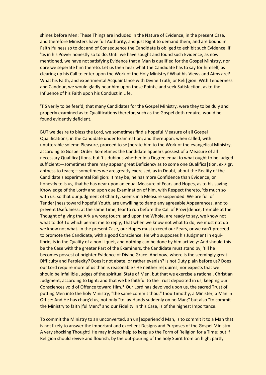shines before Men: These Things are included in the Nature of Evidence, in the present Case, and therefore Ministers have full Authority, and just Right to demand them, and are bound in Faith|fulness so to do; and of Consequence the Candidate is obliged to exhibit such Evidence, if 'tis in his Power honestly so to do. Until we have sought and found such Evidence, as now mentioned, we have not satisfying Evidence that a Man is qualified for the Gospel Ministry, nor dare we seperate him thereto. Let us then hear what the Candidate has to say for himself, as clearing up his Call to enter upon the Work of the Holy Ministry? What his Views and Aims are? What his Faith, and experimental Acquaintance with Divine Truth, or Reli|gion: With Tenderness and Candour, we would gladly hear him upon these Points; and seek Satisfaction, as to the Influence of his Faith upon his Conduct in Life.

'TIS verily to be fear'd, that many Candidates for the Gospel Ministry, were they to be duly and properly examined as to Qualifications therefor, such as the Gospel doth require, would be found evidently deficient.

BUT we desire to bless the Lord, we sometimes find a hopeful Measure of all Gospel Qualifications, in the Candidate under Examination; and thereupon, when called, with unutterable solemn Pleasure, proceed to se|perate him to the Work of the evangelical Ministry, according to Gospel Order. Sometimes the Candidate appears possest of a Measure of all necessary Qualifica|tions, but 'tis dubious whether in a Degree equal to what ought to be judged sufficient;—sometimes there may appear great Deficiency as to some one Qualifica tion, ex. • gr. aptness to teach;—sometimes we are greatly exercised, as in Doubt, about the Reality of the Candidate's experimental Religion: It may be, he has more Confidence than Evidence, or honestly tells us, that he has near upon an equal Measure of Fears and Hopes, as to his saving Knowledge of the Lord and upon due Examination of him, with Respect thereto, 'tis much so with us, so that our judgment of Charity, seems in a Measure suspended. We are full of Tender|ness toward hopeful Youth, are unwilling to damp any agreeable Appearances, and to prevent Usefulness; at the same Time, fear to run before the Call of Provi|dence, tremble at the Thought of giving the Ark a wrong touch; and upon the Whole, are ready to say, we know not what to do! To which permit me to reply, That when we know not what to do, we must not do we know not what. In the present Case, our Hopes must exceed our Fears, or we can't proceed to promote the Candidate, with a good Conscience. He who supposes his Judgment in equilibrio, is in the Quality of a non Liquet, and nothing can be done by him actively: And should this be the Case with the greater Part of the Examiners, the Candidate must stand by, 'till he becomes possest of brighter Evidence of Divine Grace. And now, where is the seemingly great Difficulty and Perplexity? Does it not abate, or rather evanish? Is not Duty plain before us? Does our Lord require more of us than is reasonable? He neither re|quires, nor expects that we should be infallible Judges of the spiritual State of Men, but that we exercise a rational, Christian Judgment, according to Light; and that we be faithful to the Trust deposited in us, keeping our Consciences void of Offence toward Him.\* Our Lord has devolved upon us, the sacred Trust of putting Men into the holy Ministry, "the same commit thou," thou Timothy, a Minister, a Man in Office: And He has charg'd us, not only "to lay Hands suddenly on no Man;" but also "to commit the Ministry to faith|ful Men;" and our Fidelity in this Case, is of the highest Importance.

To commit the Ministry to an unconverted, an un|experienc'd Man, is to commit it to a Man that is not likely to answer the important and excellent Designs and Purposes of the Gospel Ministry. A very shocking Thought! He may indeed help to keep up the Form of Religion for a Time; but if Religion should revive and flourish, by the out-pouring of the holy Spirit from on high; partly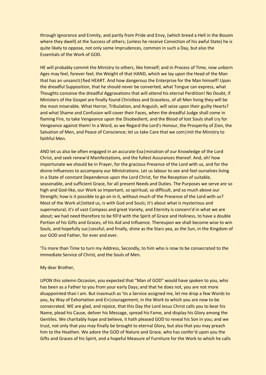through Ignorance and Enmity, and partly from Pride and Envy, (which breed a Hell in the Bosom where they dwell) at the Success of others; (unless he receive Conviction of his awful State) he is quite likely to oppose, not only some Imprudences, common in such a Day, but also the Essentials of the Work of GOD.

HE will probably commit the Ministry to others, like himself; and in Process of Time, now unborn Ages may feel, forever feel, the Weight of that HAND, which we lay upon the Head of the Man that has an unsancti|fied HEART. And how dangerous the Enterprise for the Man himself! Upon the dreadful Supposition, that he should never be converted, what Tongue can express, what Thoughts conceive the dreadful Aggravations that will attend his eternal Perdition! No Doubt, if Ministers of the Gospel are finally found Christless and Graceless, of all Men living they will be the most miserable. What Horror, Tribulation, and Anguish, will seize upon their guilty Hearts? and what Shame and Confusion will cover their Faces, when the dreadful Judge shall come in flaming Fire, to take Vengeance upon the Disobedient, and the Blood of lost Souls shall cry for Vengeance against them! In a Word, as we Regard the Lord's Honour, the Prosperity of Zion, the Salvation of Men, and Peace of Conscience; let us take Care that we com | mit the Ministry to faithful Men.

AND let us also be often engaged in an accurate Exa|mination of our Knowledge of the Lord Christ, and seek renew'd Manifestations, and the fullest Assurances thereof. And, oh! how importunate we should be in Prayer, for the gracious Presence of the Lord with us, and for the divine Influences to accompany our Ministrations. Let us labour to see and feel ourselves living in a State of constant Dependence upon the Lord Christ, for the Reception of suitable, seasonable, and sufficient Grace, for all present Needs and Duties. The Purposes we serve are so high and God-like, our Work so important, so spiritual, so difficult, and so much above our Strength; how is it possible to go on in it, without much of the Presence of the Lord with us? Most of the Work al|lotted us, is with God and Souls; it's about what is mysterious and supernatural; it's of vast Compass and great Variety, and Eternity is concern'd in what we are about; we had need therefore to be fill'd with the Spirit of Grace and Holiness, to have a double Portion of his Gifts and Graces, of his Aid and Influence. Thereupon we shall become wise to win Souls, and hopefully suc | cessful; and finally, shine as the Stars yea, as the Sun, in the Kingdom of our GOD and Father, for ever and ever.

'Tis more than Time to turn my Address, Secondly, to him who is now to be consecrated to the immediate Service of Christ, and the Souls of Men.

#### My dear Brother,

UPON this solemn Occasion, you expected that "Man of GOD" would have spoken to you, who has been as a Father to you from your early Days; and that he does not, you are not more disappointed than I am. But inasmuch as 'tis a Service assigned me, let me drop a few Words to you, by Way of Exhortation and En|couragement, in the Work to which you are now to be consecrated. WE are glad, and rejoice, that this Day the Lord Jesus Christ calls you to bear his Name, plead his Cause, deliver his Message, spread his Fame, and display his Glory among the Gentiles. We charitably hope and believe, it hath pleased GOD to reveal his Son in you; and we trust, not only that you may finally be brought to eternal Glory, but also that you may preach him to the Heathen. We adore the GOD of Nature and Grace, who has confer'd upon you the Gifts and Graces of his Spirit, and a hopeful Measure of Furniture for the Work to which he calls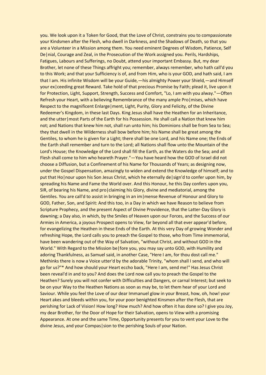you. We look upon it a Token for Good, that the Love of Christ, constrains you to compassionate your Kindsmen after the Flesh, who dwell in Darkness, and the Shadows of Death, so that you are a Volunteer in a Mission among them. You need eminent Degrees of Wisdom, Patience, Self De|nial, Courage and Zeal, in the Prosecution of the Work assigned you. Perils, Hardships, Fatigues, Labours and Sufferings, no Doubt, attend your important Embassy. But, my dear Brother, let none of these Things affright you; remember, always remember, who hath call'd you to this Work; and that your Sufficiency is of, and from Him, who is your GOD, and hath said, I am that I am. His infinite Wisdom will be your Guide,—his almighty Power your Shield,—and Himself your ex|ceeding great Reward. Take hold of that precious Promise by Faith; plead it, live upon it for Protection, Light, Support, Strength, Success and Comfort, "Lo, I am with you alway."—Often Refresh your Heart, with a believing Remembrance of the many ample Pro | mises, which have Respect to the magnificent Enlarge|ment, Light, Purity, Glory and Felicity, of the Divine Redeemer's Kingdom, in these last Days. King Jesus shall have the Heathen for an Inheritance, and the utter | most Parts of the Earth for his Possession. He shall call a Nation that knew him not; and Nations that knew him not, shall run unto him; his Dominions shall be from Sea to Sea; they that dwell in the Wilderness shall bow before him; his Name shall be great among the Gentiles, to whom he is given for a Light; there shall be one Lord, and his Name one; the Ends of the Earth shall remember and turn to the Lord; all Nations shall flow unto the Mountain of the Lord's House; the Knowledge of the Lord shall fill the Earth, as the Waters do the Sea; and all Flesh shall come to him who heareth Prayer."—You have heard how the GOD of Israel did not choose a Diffusion, but a Confinement of his Name for Thousands of Years; as designing now, under the Gospel Dispensation, amazingly to widen and extend the Knowledge of himself; and to put that Ho|nour upon his Son Jesus Christ, which he eternally de|sign'd to confer upon him, by spreading his Name and Fame the World over. And this Honour, he this Day confers upon you, SIR, of bearing his Name, and pro|claiming his Glory, divine and mediatorial, among the Gentiles. You are call'd to assist in bringing in an im|mense Revenue of Honour and Glory to GOD, Father, Son, and Spirit: And this too, in a Day in which we have Reason to believe from Scripture Prophecy, and the present Aspect of Divine Providence, that the Latter-Day Glory is dawning; a Day also, in which, by the Smiles of Heaven upon our Forces, and the Success of our Armies in America, a joyous Prospect opens to View, far beyond all that ever appear'd before, for evangelizing the Heathen in these Ends of the Earth. At this very Day of growing Wonder and refreshing Hope, the Lord calls you to preach the Gospel to those, who from Time immemorial, have been wandering out of the Way of Salvation, "without Christ, and without GOD in the World." With Regard to the Mission be|fore you, you may say unto GOD, with Humility and adoring Thankfulness, as Samuel said, in another Case, "Here I am, for thou dost call me." Methinks there is now a Voice utter'd by the adorable Trinity, "whom shall I send, and who will go for us?"\* And how should your Heart eccho back, "Here I am, send me!" Has Jesus Christ been reveal'd in and to you? And does the Lord now call you to preach the Gospel to the Heathen? Surely you will not confer with Difficulties and Dangers, or carnal Interest; but seek to be on your Way to the Heathen Nations as soon as may be, to let them hear of your Lord and Saviour. While you feel the Love of our dear Immanuel glow in your Breast, how, oh, how! your Heart akes and bleeds within you, for your poor benighted Kinsmen after the Flesh, that are perishing for Lack of Vision! How long? How much? And how often it has done so? I give you Joy, my dear Brother, for the Door of Hope for their Salvation, opens to View with a promising Appearance. At one and the same Time, Opportunity presents for you to vent your Love to the divine Jesus, and your Compas|sion to the perishing Souls of your Nation.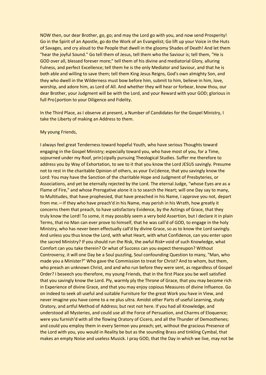NOW then, our dear Brother, go, go; and may the Lord go with you, and now send Prosperity! Go in the Spirit of an Apostle, go do the Work of an Evangelist; Go lift up your Voice in the Huts of Savages, and cry aloud to the People that dwell in the gloomy Shades of Death! And let them "hear the joyful Sound." Go tell them of Jesus, tell them who the Saviour is; tell them, "He is GOD over all, blessed forever more;" tell them of his divine and mediatorial Glory, alluring Fulness, and perfect Excellence; tell them he is the only Mediator and Saviour, and that he is both able and willing to save them; tell them King Jesus Reigns, God's own almighty Son, and they who dwell in the Wilderness must bow before him, submit to him, believe in him, love, worship, and adore him, as Lord of All. And whether they will hear or forbear, know thou, our dear Brother, your Judgment will be with the Lord, and your Reward with your GOD; glorious in full Pro | portion to your Diligence and Fidelity.

In the Third Place, as I observe at present, a Number of Candidates for the Gospel Ministry, I take the Liberty of making an Address to them.

#### My young Friends,

I always feel great Tenderness toward hopeful Youth, who have serious Thoughts toward engaging in the Gospel Ministry; especially toward you, who have most of you, for a Time, sojourned under my Roof, prin|cipally pursuing Theological Studies. Suffer me therefore to address you by Way of Exhortation, to see to it that you know the Lord JESUS savingly. Presume not to rest in the charitable Opinion of others, as your Evi|dence, that you savingly know the Lord: You may have the Sanction of the charitable Hope and Judgment of Presbyteries, or Associations, and yet be eternally rejected by the Lord. The eternal Judge, "whose Eyes are as a Flame of Fire," and whose Prerogative alone it is to search the Heart; will one Day say to many, to Multitudes, that have prophesied, that have preached in his Name, I approve you not, depart from me.—If they who have preach'd in his Name, may perish in his Wrath, how greatly it concerns them that preach, to have satisfactory Evidence, by the Actings of Grace, that they truly know the Lord! To some, it may possibly seem a very bold Assertion, but I declare it in plain Terms, that no Man can ever prove to himself, that he was call'd of GOD, to engage in the holy Ministry, who has never been effectually call'd by divine Grace, so as to know the Lord savingly. And unless you thus know the Lord, with what Heart, with what Confidence, can you enter upon the sacred Ministry? If you should run the Risk, the awful Risk void of such Knowledge, what Comfort can you take therein? Or what of Success can you expect thereupon? Without Controversy, it will one Day be a Soul puzzling, Soul confounding Question to many, "Man, who made you a Minister?" Who gave the Commission to treat for Christ? And to whom, but them, who preach an unknown Christ, and and who run before they were sent, as regardless of Gospel Order? I beseech you therefore, my young Friends, that in the first Place you be well satisfied that you savingly know the Lord. Ply, warmly ply the Throne of Grace, that you may become rich in Experience of divine Grace, and that you may enjoy copious Measures of divine Influence. Go on indeed to seek all useful and suitable Furniture for the great Work you have in View, and never imagine you have come to a ne plus ultra. Amidst other Parts of useful Learning, study Oratory, and artful Method of Address; but rest not here. If you had all Knowledge, and understood all Mysteries, and could use all the Force of Persuation, and Charms of Eloquence; were you furnish'd with all the flowing Oratory of Cicero, and all the Thunder of Demosthenes; and could you employ them in every Sermon you preach; yet, without the gracious Presence of the Lord with you, you would in Reality be but as the sounding Brass and tinkling Cymbal, that makes an empty Noise and useless Musick. I pray GOD, that the Day in which we live, may not be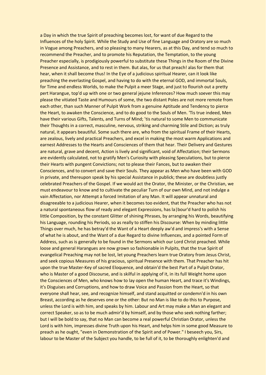a Day in which the true Spirit of preaching becomes lost, for want of due Regard to the Influences of the holy Spirit. While the Study and Use of fine Language and Oratory are so much in Vogue among Preachers, and so pleasing to many Hearers, as at this Day, and tend so much to recommend the Preacher, and to promote his Reputation, the Temptation, to the young Preacher especially, is prodigiously powerful to substitute these Things in the Room of the Divine Presence and Assistance, and to rest in them. But alas, for us that preach! alas for them that hear, when it shall become thus! In the Eye of a judicious spiritual Hearer, can it look like preaching the everlasting Gospel, and having to do with the eternal GOD, and immortal Souls, for Time and endless Worlds, to make the Pulpit a meer Stage, and just to flourish out a pretty pert Harangue, top'd up with one or two general jejune Inferences? How much soever this may please the vitiated Taste and Humours of some, the two distant Poles are not more remote from each other, than such Manner of Pulpit Work from a genuine Aptitude and Tendency to pierce the Heart, to awaken the Conscience, and to do good to the Souls of Men. 'Tis true indeed, Men have their various Gifts, Talents, and Turns of Mind; 'tis natural to some Men to communicate their Thoughts in a correct, masculine, nervous, striking and charming Stile and Diction; as truly natural, it appears beautiful. Some such there are, who from the spiritual Frame of their Hearts, are zealous, lively and practical Preachers, and excel in making the most warm Applications and earnest Addresses to the Hearts and Consciences of them that hear. Their Delivery and Gestures are natural, grave and decent, Action is lively and significant, void of Affectation; their Sermons are evidently calculated, not to gratify Men's Curiosity with pleasing Speculations, but to pierce their Hearts with pungent Convictions; not to please their Fances, but to awaken their Consciences, and to convert and save their Souls. They appear as Men who have been with GOD in private, and thereupon speak by his special Assistance in publick; these are doubtless justly celebrated Preachers of the Gospel. If we would act the Orator, the Minister, or the Christian, we must endeavour to know and to cultivate the peculiar Turn of our own Mind, and not indulge a vain Affectation, nor Attempt a forced Imitation of any Man. It will appear unnatural and disagreeable to a judicious Hearer, when it becomes too evident, that the Preacher who has not a natural spontaneous flow of ready and elegant Expressions, has la|bour'd hard to polish his little Composition, by the constant Glitter of shining Phrases, by arranging his Words, beautifying his Language, rounding his Periods, so as really to stiffen his Discourse: When by minding little Things over much, he has betray'd the Want of a Heart deeply aw'd and impress's with a Sense of what he is about, and the Want of a due Regard to divine Influences, and a pointed Form of Address, such as is generally to be found in the Sermons which our Lord Christ preached. While loose and general Harangues are now grown so fashionable in Pulpits, that the true Spirit of evangelical Preaching may not be lost, let young Preachers learn true Oratory from Jesus Christ, and seek copious Measures of his gracious, spiritual Presence with them. That Preacher has hit upon the true Master-Key of sacred Eloquence, and obtain'd the best Part of a Pulpit Orator, who is Master of a good Discourse, and is skilful in applying of it, in its full Weight home upon the Consciences of Men, who knows how to lay open the human Heart, and trace it's Windings, it's Disguises and Corruptions, and how to draw Voice and Passion from the Heart, so that everyone shall hear, see, and recognize himself, and stand acquitted or condemn'd in his own Breast, according as he deserves one or the other: But no Man is like to do this to Purpose, unless the Lord is with him, and speaks by him. Labour and Art may make a Man an elegant and correct Speaker, so as to be much admir'd by himself, and by those who seek nothing farther; but I will be bold to say, that no Man can become a real powerful Christian Orator, unless the Lord is with him, impresses divine Truth upon his Heart, and helps him in some good Measure to preach as he ought, "even in Demonstration of the Spirit and of Power." I beseech you, Sirs, labour to be Master of the Subject you handle, to be full of it, to be thoroughly enlighten'd and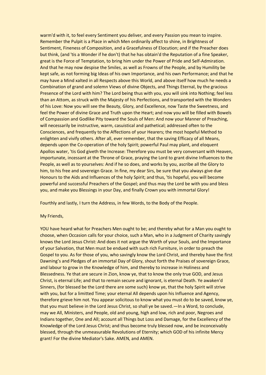warm'd with it, to feel every Sentiment you deliver, and every Passion you mean to inspire. Remember the Pulpit is a Place in which Men ordinarily affect to shine, in Brightness of Sentiment, Fineness of Composition, and a Gracefulness of Elocution; and if the Preacher does but think, (and 'tis a Wonder if he don't) that he has obtain'd the Reputation of a fine Speaker, great is the Force of Temptation, to bring him under the Power of Pride and Self-Admiration. And that he may now despise the Smiles, as well as Frowns of the People, and by Humility be kept safe, as not forming big Ideas of his own Importance, and his own Performance; and that he may have a Mind xalted in all Respects above this World, and above itself how much he needs a Combination of grand and solemn Views of divine Objects, and Things Eternal, by the gracious Presence of the Lord with him? The Lord being thus with you, you will sink into Nothing; feel less than an Attom, as struck with the Majesty of his Perfections, and transported with the Wonders of his Love: Now you will see the Beauty, Glory, and Excellence, now Taste the Sweetness, and feel the Power of divine Grace and Truth upon the Heart; and now you will be filled with Bowels of Compassion and Godlike Pity toward the Souls of Men: And now your Manner of Preaching, will necessarily be instructive, warm, casuistical and pathetical; addressed often to the Consciences, and frequently to the Affections of your Hearers; the most hopeful Method to enlighten and vivify others. After all, ever remember, that the saving Efficacy of all Means, depends upon the Co-operation of the holy Spirit; powerful Paul may plant, and eloquent Apollos water, 'tis God giveth the Increase: Therefore you must be very conversant with Heaven, importunate, incessant at the Throne of Grace, praying the Lord to grant divine Influences to the People, as well as to yourselves: And if he so does, and works by you, ascribe all the Glory to him, to his free and sovereign Grace. In fine, my dear Sirs, be sure that you always give due Honours to the Aids and Influences of the holy Spirit; and thus, 'tis hopeful, you will become powerful and successful Preachers of the Gospel; and thus may the Lord be with you and bless you, and make you Blessings in your Day, and finally Crown you with immortal Glory!

Fourthly and lastly, I turn the Address, in few Words, to the Body of the People.

#### My Friends,

YOU have heard what for Preachers Men ought to be; and thereby what for a Man you ought to choose, when Occasion calls for your choice, such a Man, who in a Judgment of Charity savingly knows the Lord Jesus Christ: And does it not argue the Worth of your Souls, and the Importance of your Salvation, that Men must be endued with such rich Furniture, in order to preach the Gospel to you. As for those of you, who savingly know the Lord Christ, and thereby have the first Dawning's and Pledges of an immortal Day of Glory, shout forth the Praises of sovereign Grace, and labour to grow in the Knowledge of him, and thereby to increase in Holiness and Blessedness. Ye that are secure in Zion, know ye, that to know the only true GOD, and Jesus Christ, is eternal Life; and that to remain secure and ignorant, is eternal Death. Ye awaken'd Sinners, (for blessed be the Lord there are some such) know ye, that the holy Spirit will strive with you, but for a limitted Time; your eternal All depends upon his Influence and Agency, therefore grieve him not. You appear solicitous to know what you must do to be saved, know ye, that you must believe in the Lord Jesus Christ, so shall ye be saved.—In a Word, to conclude, may we All, Ministers, and People, old and young, high and low, rich and poor, Negroes and Indians together, One and All; account all Things but Loss and Damage, for the Excellency of the Knowledge of the Lord Jesus Christ; and thus become truly blessed now, and be inconceivably blessed, through the unmeasurable Revolutions of Eternity; which GOD of his infinite Mercy grant! For the divine Mediator's Sake. AMEN, and AMEN.